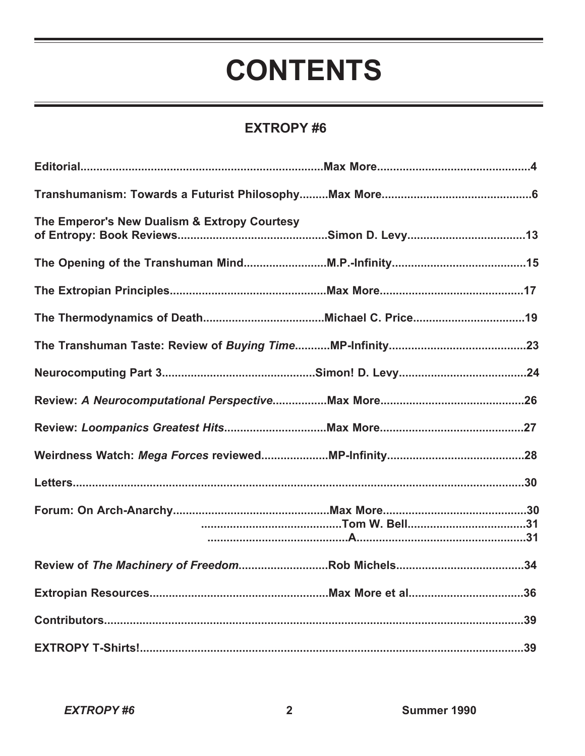# **CONTENTS**

## **EXTROPY#6**

| The Emperor's New Dualism & Extropy Courtesy    |  |
|-------------------------------------------------|--|
|                                                 |  |
|                                                 |  |
|                                                 |  |
|                                                 |  |
|                                                 |  |
|                                                 |  |
|                                                 |  |
|                                                 |  |
|                                                 |  |
|                                                 |  |
| Review of The Machinery of FreedomRob Michels34 |  |
|                                                 |  |
|                                                 |  |
|                                                 |  |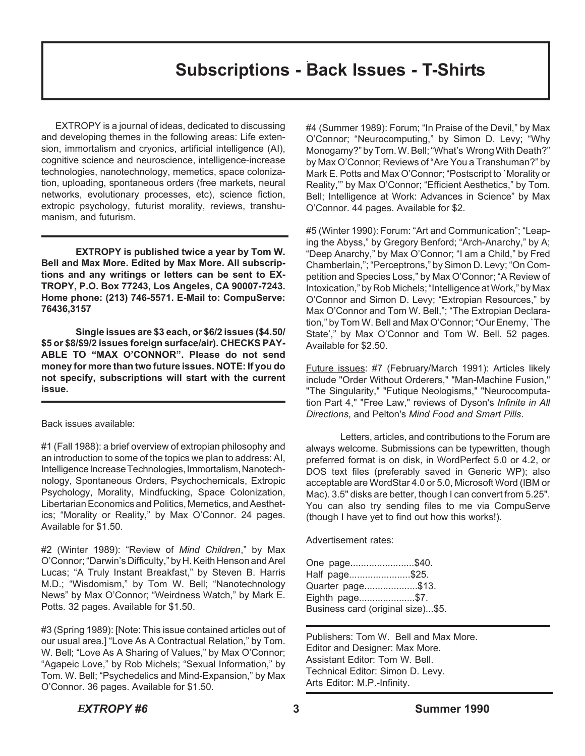EXTROPY is a journal of ideas, dedicated to discussing and developing themes in the following areas: Life extension, immortalism and cryonics, artificial intelligence (AI), cognitive science and neuroscience, intelligence-increase technologies, nanotechnology, memetics, space colonization, uploading, spontaneous orders (free markets, neural networks, evolutionary processes, etc), science fiction, extropic psychology, futurist morality, reviews, transhumanism, and futurism.

**EXTROPY is published twice a year by Tom W. Bell and Max More. Edited by Max More. All subscriptions and any writings or letters can be sent to EX-TROPY, P.O. Box 77243, Los Angeles, CA 90007-7243. Home phone: (213) 746-5571. E-Mail to: CompuServe: 76436,3157**

**Single issues are \$3 each, or \$6/2 issues (\$4.50/ \$5 or \$8/\$9/2 issues foreign surface/air). CHECKS PAY-ABLE TO "MAX O'CONNOR". Please do not send money for more than two future issues. NOTE: If you do not specify, subscriptions will start with the current issue.**

Back issues available:

#1 (Fall 1988): a brief overview of extropian philosophy and an introduction to some of the topics we plan to address: AI, Intelligence Increase Technologies, Immortalism, Nanotechnology, Spontaneous Orders, Psychochemicals, Extropic Psychology, Morality, Mindfucking, Space Colonization, Libertarian Economics and Politics, Memetics, and Aesthetics; "Morality or Reality," by Max O'Connor. 24 pages. Available for \$1.50.

#2 (Winter 1989): "Review of *Mind Children*," by Max O'Connor; "Darwin's Difficulty," by H. Keith Henson and Arel Lucas; "A Truly Instant Breakfast," by Steven B. Harris M.D.; "Wisdomism," by Tom W. Bell; "Nanotechnology News" by Max O'Connor; "Weirdness Watch," by Mark E. Potts. 32 pages. Available for \$1.50.

#3 (Spring 1989): [Note: This issue contained articles out of our usual area.] "Love As A Contractual Relation," by Tom. W. Bell; "Love As A Sharing of Values," by Max O'Connor; "Agapeic Love," by Rob Michels; "Sexual Information," by Tom. W. Bell; "Psychedelics and Mind-Expansion," by Max O'Connor. 36 pages. Available for \$1.50.

#4 (Summer 1989): Forum; "In Praise of the Devil," by Max O'Connor; "Neurocomputing," by Simon D. Levy; "Why Monogamy?" by Tom. W. Bell; "What's Wrong With Death?" by Max O'Connor; Reviews of "Are You a Transhuman?" by Mark E. Potts and Max O'Connor; "Postscript to `Morality or Reality,'" by Max O'Connor; "Efficient Aesthetics," by Tom. Bell; Intelligence at Work: Advances in Science" by Max O'Connor. 44 pages. Available for \$2.

#5 (Winter 1990): Forum: "Art and Communication"; "Leaping the Abyss," by Gregory Benford; "Arch-Anarchy," by A; "Deep Anarchy," by Max O'Connor; "I am a Child," by Fred Chamberlain,"; "Perceptrons," by Simon D. Levy; "On Competition and Species Loss," by Max O'Connor; "A Review of Intoxication," by Rob Michels; "Intelligence at Work," by Max O'Connor and Simon D. Levy; "Extropian Resources," by Max O'Connor and Tom W. Bell,"; "The Extropian Declaration," by Tom W. Bell and Max O'Connor; "Our Enemy, `The State'," by Max O'Connor and Tom W. Bell. 52 pages. Available for \$2.50.

Future issues: #7 (February/March 1991): Articles likely include "Order Without Orderers," "Man-Machine Fusion," "The Singularity," "Futique Neologisms," "Neurocomputation Part 4," "Free Law," reviews of Dyson's *Infinite in All Directions*, and Pelton's *Mind Food and Smart Pills*.

Letters, articles, and contributions to the Forum are always welcome. Submissions can be typewritten, though preferred format is on disk, in WordPerfect 5.0 or 4.2, or DOS text files (preferably saved in Generic WP); also acceptable are WordStar 4.0 or 5.0, Microsoft Word (IBM or Mac). 3.5" disks are better, though I can convert from 5.25". You can also try sending files to me via CompuServe (though I have yet to find out how this works!).

Advertisement rates:

| One page\$40.                     |  |
|-----------------------------------|--|
| Half page\$25.                    |  |
| Quarter page\$13.                 |  |
| Eighth page\$7.                   |  |
| Business card (original size)\$5. |  |
|                                   |  |

Publishers: Tom W. Bell and Max More. Editor and Designer: Max More. Assistant Editor: Tom W. Bell. Technical Editor: Simon D. Levy. Arts Editor: M.P.-Infinity.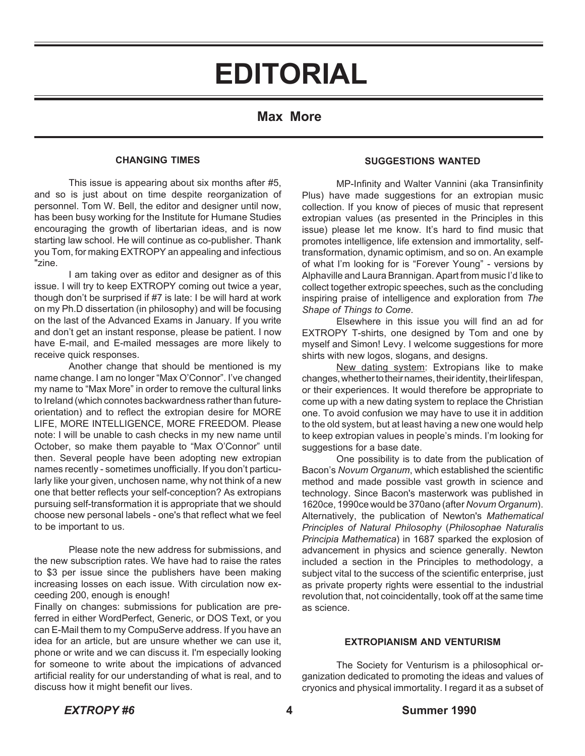# **EDITORIAL**

### **Max More**

#### **CHANGING TIMES**

This issue is appearing about six months after #5, and so is just about on time despite reorganization of personnel. Tom W. Bell, the editor and designer until now, has been busy working for the Institute for Humane Studies encouraging the growth of libertarian ideas, and is now starting law school. He will continue as co-publisher. Thank you Tom, for making EXTROPY an appealing and infectious "zine.

I am taking over as editor and designer as of this issue. I will try to keep EXTROPY coming out twice a year, though don't be surprised if #7 is late: I be will hard at work on my Ph.D dissertation (in philosophy) and will be focusing on the last of the Advanced Exams in January. If you write and don't get an instant response, please be patient. I now have E-mail, and E-mailed messages are more likely to receive quick responses.

Another change that should be mentioned is my name change. I am no longer "Max O'Connor". I've changed my name to "Max More" in order to remove the cultural links to Ireland (which connotes backwardness rather than futureorientation) and to reflect the extropian desire for MORE LIFE, MORE INTELLIGENCE, MORE FREEDOM. Please note: I will be unable to cash checks in my new name until October, so make them payable to "Max O'Connor" until then. Several people have been adopting new extropian names recently - sometimes unofficially. If you don't particularly like your given, unchosen name, why not think of a new one that better reflects your self-conception? As extropians pursuing self-transformation it is appropriate that we should choose new personal labels - one's that reflect what we feel to be important to us.

Please note the new address for submissions, and the new subscription rates. We have had to raise the rates to \$3 per issue since the publishers have been making increasing losses on each issue. With circulation now exceeding 200, enough is enough!

Finally on changes: submissions for publication are preferred in either WordPerfect, Generic, or DOS Text, or you can E-Mail them to my CompuServe address. If you have an idea for an article, but are unsure whether we can use it, phone or write and we can discuss it. I'm especially looking for someone to write about the impications of advanced artificial reality for our understanding of what is real, and to discuss how it might benefit our lives.

#### **SUGGESTIONS WANTED**

MP-Infinity and Walter Vannini (aka Transinfinity Plus) have made suggestions for an extropian music collection. If you know of pieces of music that represent extropian values (as presented in the Principles in this issue) please let me know. It's hard to find music that promotes intelligence, life extension and immortality, selftransformation, dynamic optimism, and so on. An example of what I'm looking for is "Forever Young" - versions by Alphaville and Laura Brannigan. Apart from music I'd like to collect together extropic speeches, such as the concluding inspiring praise of intelligence and exploration from *The Shape of Things to Come*.

Elsewhere in this issue you will find an ad for EXTROPY T-shirts, one designed by Tom and one by myself and Simon! Levy. I welcome suggestions for more shirts with new logos, slogans, and designs.

New dating system: Extropians like to make changes, whether to their names, their identity, their lifespan, or their experiences. It would therefore be appropriate to come up with a new dating system to replace the Christian one. To avoid confusion we may have to use it in addition to the old system, but at least having a new one would help to keep extropian values in people's minds. I'm looking for suggestions for a base date.

One possibility is to date from the publication of Bacon's *Novum Organum*, which established the scientific method and made possible vast growth in science and technology. Since Bacon's masterwork was published in 1620ce, 1990ce would be 370ano (after *Novum Organum*). Alternatively, the publication of Newton's *Mathematical Principles of Natural Philosophy* (*Philosophae Naturalis Principia Mathematica*) in 1687 sparked the explosion of advancement in physics and science generally. Newton included a section in the Principles to methodology, a subject vital to the success of the scientific enterprise, just as private property rights were essential to the industrial revolution that, not coincidentally, took off at the same time as science.

#### **EXTROPIANISM AND VENTURISM**

The Society for Venturism is a philosophical organization dedicated to promoting the ideas and values of cryonics and physical immortality. I regard it as a subset of

*EXTROPY #6* **4 Summer 1990**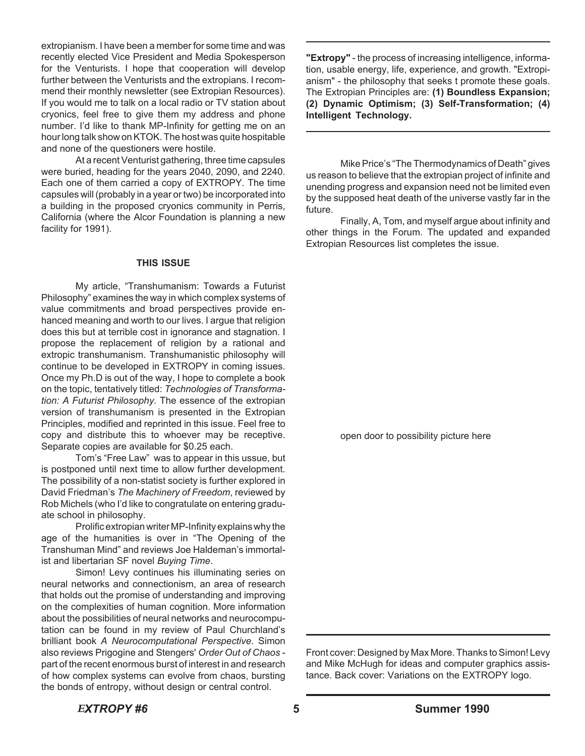extropianism. I have been a member for some time and was recently elected Vice President and Media Spokesperson for the Venturists. I hope that cooperation will develop further between the Venturists and the extropians. I recommend their monthly newsletter (see Extropian Resources). If you would me to talk on a local radio or TV station about cryonics, feel free to give them my address and phone number. I'd like to thank MP-Infinity for getting me on an hour long talk show on KTOK. The host was quite hospitable and none of the questioners were hostile.

At a recent Venturist gathering, three time capsules were buried, heading for the years 2040, 2090, and 2240. Each one of them carried a copy of EXTROPY. The time capsules will (probably in a year or two) be incorporated into a building in the proposed cryonics community in Perris, California (where the Alcor Foundation is planning a new facility for 1991).

#### **THIS ISSUE**

My article, "Transhumanism: Towards a Futurist Philosophy" examines the way in which complex systems of value commitments and broad perspectives provide enhanced meaning and worth to our lives. I argue that religion does this but at terrible cost in ignorance and stagnation. I propose the replacement of religion by a rational and extropic transhumanism. Transhumanistic philosophy will continue to be developed in EXTROPY in coming issues. Once my Ph.D is out of the way, I hope to complete a book on the topic, tentatively titled: *Technologies of Transformation: A Futurist Philosophy*. The essence of the extropian version of transhumanism is presented in the Extropian Principles, modified and reprinted in this issue. Feel free to copy and distribute this to whoever may be receptive. Separate copies are available for \$0.25 each.

Tom's "Free Law" was to appear in this ussue, but is postponed until next time to allow further development. The possibility of a non-statist society is further explored in David Friedman's *The Machinery of Freedom*, reviewed by Rob Michels (who I'd like to congratulate on entering graduate school in philosophy.

Prolific extropian writer MP-Infinity explains why the age of the humanities is over in "The Opening of the Transhuman Mind" and reviews Joe Haldeman's immortalist and libertarian SF novel *Buying Time*.

Simon! Levy continues his illuminating series on neural networks and connectionism, an area of research that holds out the promise of understanding and improving on the complexities of human cognition. More information about the possibilities of neural networks and neurocomputation can be found in my review of Paul Churchland's brilliant book *A Neurocomputational Perspective*. Simon also reviews Prigogine and Stengers' *Order Out of Chaos* part of the recent enormous burst of interest in and research of how complex systems can evolve from chaos, bursting the bonds of entropy, without design or central control.

**"Extropy"** - the process of increasing intelligence, information, usable energy, life, experience, and growth. "Extropianism" - the philosophy that seeks t promote these goals. The Extropian Principles are: **(1) Boundless Expansion; (2) Dynamic Optimism; (3) Self-Transformation; (4) Intelligent Technology.**

Mike Price's "The Thermodynamics of Death" gives us reason to believe that the extropian project of infinite and unending progress and expansion need not be limited even by the supposed heat death of the universe vastly far in the future.

Finally, A, Tom, and myself argue about infinity and other things in the Forum. The updated and expanded Extropian Resources list completes the issue.

open door to possibility picture here

Front cover: Designed by Max More. Thanks to Simon! Levy and Mike McHugh for ideas and computer graphics assistance. Back cover: Variations on the EXTROPY logo.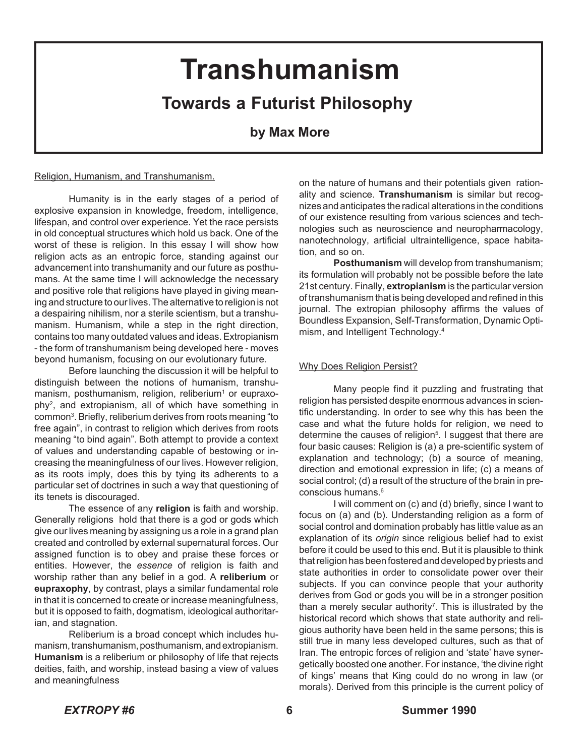## **Transhumanism Towards a Futurist Philosophy**

**by Max More**

Religion, Humanism, and Transhumanism.

Humanity is in the early stages of a period of explosive expansion in knowledge, freedom, intelligence, lifespan, and control over experience. Yet the race persists in old conceptual structures which hold us back. One of the worst of these is religion. In this essay I will show how religion acts as an entropic force, standing against our advancement into transhumanity and our future as posthumans. At the same time I will acknowledge the necessary and positive role that religions have played in giving meaning and structure to our lives. The alternative to religion is not a despairing nihilism, nor a sterile scientism, but a transhumanism. Humanism, while a step in the right direction, contains too many outdated values and ideas. Extropianism - the form of transhumanism being developed here - moves beyond humanism, focusing on our evolutionary future.

Before launching the discussion it will be helpful to distinguish between the notions of humanism, transhumanism, posthumanism, religion, reliberium<sup>1</sup> or eupraxophy<sup>2</sup> , and extropianism, all of which have something in common<sup>3</sup>. Briefly, reliberium derives from roots meaning "to free again", in contrast to religion which derives from roots meaning "to bind again". Both attempt to provide a context of values and understanding capable of bestowing or increasing the meaningfulness of our lives. However religion, as its roots imply, does this by tying its adherents to a particular set of doctrines in such a way that questioning of its tenets is discouraged.

The essence of any **religion** is faith and worship. Generally religions hold that there is a god or gods which give our lives meaning by assigning us a role in a grand plan created and controlled by external supernatural forces. Our assigned function is to obey and praise these forces or entities. However, the *essence* of religion is faith and worship rather than any belief in a god. A **reliberium** or **eupraxophy**, by contrast, plays a similar fundamental role in that it is concerned to create or increase meaningfulness, but it is opposed to faith, dogmatism, ideological authoritarian, and stagnation.

Reliberium is a broad concept which includes humanism, transhumanism, posthumanism, and extropianism. **Humanism** is a reliberium or philosophy of life that rejects deities, faith, and worship, instead basing a view of values and meaningfulness

on the nature of humans and their potentials given rationality and science. **Transhumanism** is similar but recognizes and anticipates the radical alterations in the conditions of our existence resulting from various sciences and technologies such as neuroscience and neuropharmacology, nanotechnology, artificial ultraintelligence, space habitation, and so on.

**Posthumanism** will develop from transhumanism; its formulation will probably not be possible before the late 21st century. Finally, **extropianism** is the particular version of transhumanism that is being developed and refined in this journal. The extropian philosophy affirms the values of Boundless Expansion, Self-Transformation, Dynamic Optimism, and Intelligent Technology.<sup>4</sup>

#### Why Does Religion Persist?

Many people find it puzzling and frustrating that religion has persisted despite enormous advances in scientific understanding. In order to see why this has been the case and what the future holds for religion, we need to determine the causes of religion<sup>5</sup>. I suggest that there are four basic causes: Religion is (a) a pre-scientific system of explanation and technology; (b) a source of meaning, direction and emotional expression in life; (c) a means of social control; (d) a result of the structure of the brain in preconscious humans.<sup>6</sup>

I will comment on (c) and (d) briefly, since I want to focus on (a) and (b). Understanding religion as a form of social control and domination probably has little value as an explanation of its *origin* since religious belief had to exist before it could be used to this end. But it is plausible to think that religion has been fostered and developed by priests and state authorities in order to consolidate power over their subjects. If you can convince people that your authority derives from God or gods you will be in a stronger position than a merely secular authority<sup>7</sup>. This is illustrated by the historical record which shows that state authority and religious authority have been held in the same persons; this is still true in many less developed cultures, such as that of Iran. The entropic forces of religion and 'state' have synergetically boosted one another. For instance, 'the divine right of kings' means that King could do no wrong in law (or morals). Derived from this principle is the current policy of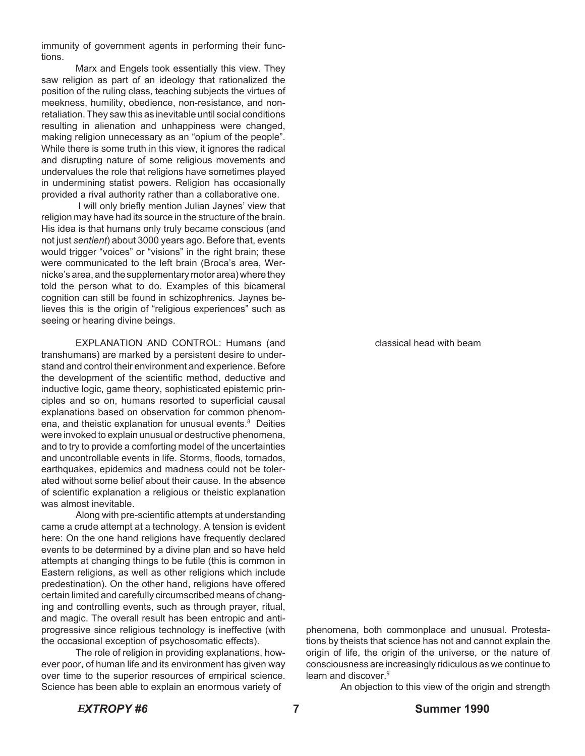immunity of government agents in performing their functions.

Marx and Engels took essentially this view. They saw religion as part of an ideology that rationalized the position of the ruling class, teaching subjects the virtues of meekness, humility, obedience, non-resistance, and nonretaliation. They saw this as inevitable until social conditions resulting in alienation and unhappiness were changed, making religion unnecessary as an "opium of the people". While there is some truth in this view, it ignores the radical and disrupting nature of some religious movements and undervalues the role that religions have sometimes played in undermining statist powers. Religion has occasionally provided a rival authority rather than a collaborative one.

 I will only briefly mention Julian Jaynes' view that religion may have had its source in the structure of the brain. His idea is that humans only truly became conscious (and not just *sentient*) about 3000 years ago. Before that, events would trigger "voices" or "visions" in the right brain; these were communicated to the left brain (Broca's area, Wernicke's area, and the supplementary motor area) where they told the person what to do. Examples of this bicameral cognition can still be found in schizophrenics. Jaynes believes this is the origin of "religious experiences" such as seeing or hearing divine beings.

EXPLANATION AND CONTROL: Humans (and transhumans) are marked by a persistent desire to understand and control their environment and experience. Before the development of the scientific method, deductive and inductive logic, game theory, sophisticated epistemic principles and so on, humans resorted to superficial causal explanations based on observation for common phenomena, and theistic explanation for unusual events.<sup>8</sup> Deities were invoked to explain unusual or destructive phenomena, and to try to provide a comforting model of the uncertainties and uncontrollable events in life. Storms, floods, tornados, earthquakes, epidemics and madness could not be tolerated without some belief about their cause. In the absence of scientific explanation a religious or theistic explanation was almost inevitable.

Along with pre-scientific attempts at understanding came a crude attempt at a technology. A tension is evident here: On the one hand religions have frequently declared events to be determined by a divine plan and so have held attempts at changing things to be futile (this is common in Eastern religions, as well as other religions which include predestination). On the other hand, religions have offered certain limited and carefully circumscribed means of changing and controlling events, such as through prayer, ritual, and magic. The overall result has been entropic and antiprogressive since religious technology is ineffective (with the occasional exception of psychosomatic effects).

The role of religion in providing explanations, however poor, of human life and its environment has given way over time to the superior resources of empirical science. Science has been able to explain an enormous variety of

#### classical head with beam

phenomena, both commonplace and unusual. Protestations by theists that science has not and cannot explain the origin of life, the origin of the universe, or the nature of consciousness are increasingly ridiculous as we continue to learn and discover.<sup>9</sup>

An objection to this view of the origin and strength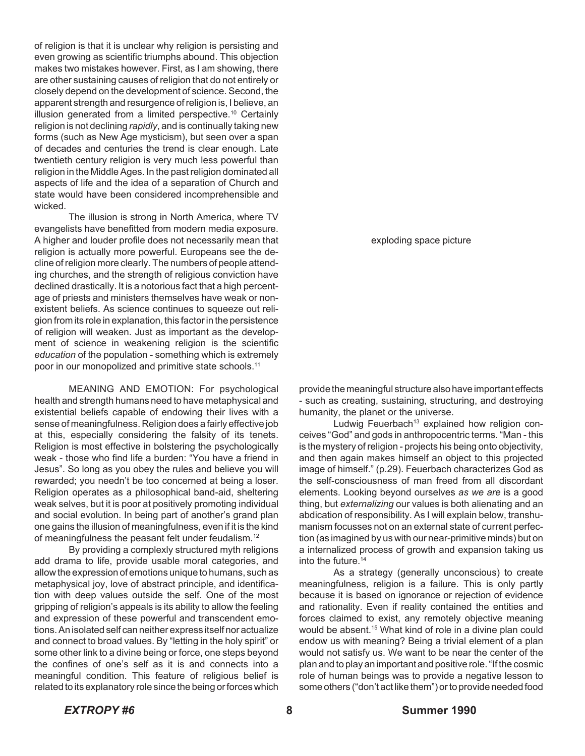of religion is that it is unclear why religion is persisting and even growing as scientific triumphs abound. This objection makes two mistakes however. First, as I am showing, there are other sustaining causes of religion that do not entirely or closely depend on the development of science. Second, the apparent strength and resurgence of religion is, I believe, an illusion generated from a limited perspective.<sup>10</sup> Certainly religion is not declining *rapidly*, and is continually taking new forms (such as New Age mysticism), but seen over a span of decades and centuries the trend is clear enough. Late twentieth century religion is very much less powerful than religion in the Middle Ages. In the past religion dominated all aspects of life and the idea of a separation of Church and state would have been considered incomprehensible and wicked.

The illusion is strong in North America, where TV evangelists have benefitted from modern media exposure. A higher and louder profile does not necessarily mean that religion is actually more powerful. Europeans see the decline of religion more clearly. The numbers of people attending churches, and the strength of religious conviction have declined drastically. It is a notorious fact that a high percentage of priests and ministers themselves have weak or nonexistent beliefs. As science continues to squeeze out religion from its role in explanation, this factor in the persistence of religion will weaken. Just as important as the development of science in weakening religion is the scientific *education* of the population - something which is extremely poor in our monopolized and primitive state schools.<sup>11</sup>

MEANING AND EMOTION: For psychological health and strength humans need to have metaphysical and existential beliefs capable of endowing their lives with a sense of meaningfulness. Religion does a fairly effective job at this, especially considering the falsity of its tenets. Religion is most effective in bolstering the psychologically weak - those who find life a burden: "You have a friend in Jesus". So long as you obey the rules and believe you will rewarded; you needn't be too concerned at being a loser. Religion operates as a philosophical band-aid, sheltering weak selves, but it is poor at positively promoting individual and social evolution. In being part of another's grand plan one gains the illusion of meaningfulness, even if it is the kind of meaningfulness the peasant felt under feudalism.<sup>12</sup>

By providing a complexly structured myth religions add drama to life, provide usable moral categories, and allow the expression of emotions unique to humans, such as metaphysical joy, love of abstract principle, and identification with deep values outside the self. One of the most gripping of religion's appeals is its ability to allow the feeling and expression of these powerful and transcendent emotions. An isolated self can neither express itself nor actualize and connect to broad values. By "letting in the holy spirit" or some other link to a divine being or force, one steps beyond the confines of one's self as it is and connects into a meaningful condition. This feature of religious belief is related to its explanatory role since the being or forces which

#### exploding space picture

provide the meaningful structure also have important effects - such as creating, sustaining, structuring, and destroying humanity, the planet or the universe.

Ludwig Feuerbach<sup>13</sup> explained how religion conceives "God" and gods in anthropocentric terms. "Man - this is the mystery of religion - projects his being onto objectivity, and then again makes himself an object to this projected image of himself." (p.29). Feuerbach characterizes God as the self-consciousness of man freed from all discordant elements. Looking beyond ourselves *as we are* is a good thing, but *externalizing* our values is both alienating and an abdication of responsibility. As I will explain below, transhumanism focusses not on an external state of current perfection (as imagined by us with our near-primitive minds) but on a internalized process of growth and expansion taking us into the future.<sup>14</sup>

As a strategy (generally unconscious) to create meaningfulness, religion is a failure. This is only partly because it is based on ignorance or rejection of evidence and rationality. Even if reality contained the entities and forces claimed to exist, any remotely objective meaning would be absent.<sup>15</sup> What kind of role in a divine plan could endow us with meaning? Being a trivial element of a plan would not satisfy us. We want to be near the center of the plan and to play an important and positive role. "If the cosmic role of human beings was to provide a negative lesson to some others ("don't act like them") or to provide needed food

*EXTROPY #6* **8 Summer 1990**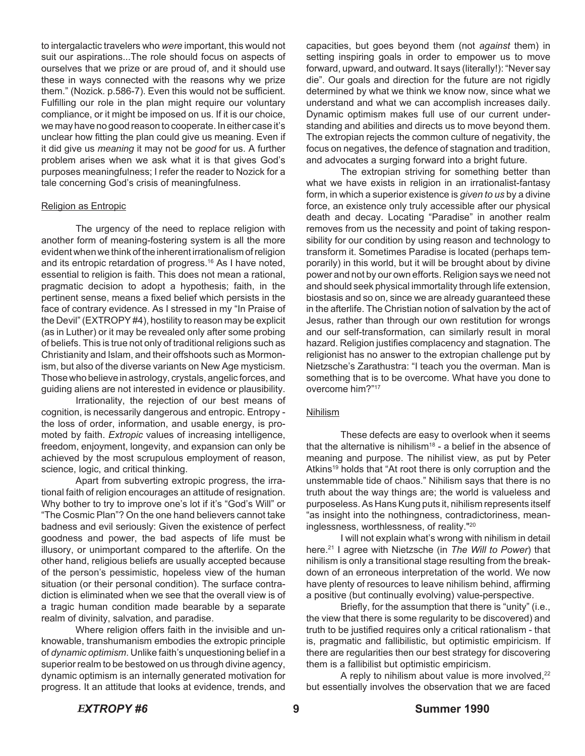to intergalactic travelers who *were* important, this would not suit our aspirations...The role should focus on aspects of ourselves that we prize or are proud of, and it should use these in ways connected with the reasons why we prize them." (Nozick. p.586-7). Even this would not be sufficient. Fulfilling our role in the plan might require our voluntary compliance, or it might be imposed on us. If it is our choice, we may have no good reason to cooperate. In either case it's unclear how fitting the plan could give us meaning. Even if it did give us *meaning* it may not be *good* for us. A further problem arises when we ask what it is that gives God's purposes meaningfulness; I refer the reader to Nozick for a tale concerning God's crisis of meaningfulness.

#### Religion as Entropic

The urgency of the need to replace religion with another form of meaning-fostering system is all the more evident when we think of the inherent irrationalism of religion and its entropic retardation of progress.<sup>16</sup> As I have noted, essential to religion is faith. This does not mean a rational, pragmatic decision to adopt a hypothesis; faith, in the pertinent sense, means a fixed belief which persists in the face of contrary evidence. As I stressed in my "In Praise of the Devil" (EXTROPY #4), hostility to reason may be explicit (as in Luther) or it may be revealed only after some probing of beliefs. This is true not only of traditional religions such as Christianity and Islam, and their offshoots such as Mormonism, but also of the diverse variants on New Age mysticism. Those who believe in astrology, crystals, angelic forces, and guiding aliens are not interested in evidence or plausibility.

Irrationality, the rejection of our best means of cognition, is necessarily dangerous and entropic. Entropy the loss of order, information, and usable energy, is promoted by faith. *Extropic* values of increasing intelligence, freedom, enjoyment, longevity, and expansion can only be achieved by the most scrupulous employment of reason, science, logic, and critical thinking.

Apart from subverting extropic progress, the irrational faith of religion encourages an attitude of resignation. Why bother to try to improve one's lot if it's "God's Will" or "The Cosmic Plan"? On the one hand believers cannot take badness and evil seriously: Given the existence of perfect goodness and power, the bad aspects of life must be illusory, or unimportant compared to the afterlife. On the other hand, religious beliefs are usually accepted because of the person's pessimistic, hopeless view of the human situation (or their personal condition). The surface contradiction is eliminated when we see that the overall view is of a tragic human condition made bearable by a separate realm of divinity, salvation, and paradise.

Where religion offers faith in the invisible and unknowable, transhumanism embodies the extropic principle of *dynamic optimism*. Unlike faith's unquestioning belief in a superior realm to be bestowed on us through divine agency, dynamic optimism is an internally generated motivation for progress. It an attitude that looks at evidence, trends, and capacities, but goes beyond them (not *against* them) in setting inspiring goals in order to empower us to move forward, upward, and outward. It says (literally!): "Never say die". Our goals and direction for the future are not rigidly determined by what we think we know now, since what we understand and what we can accomplish increases daily. Dynamic optimism makes full use of our current understanding and abilities and directs us to move beyond them. The extropian rejects the common culture of negativity, the focus on negatives, the defence of stagnation and tradition, and advocates a surging forward into a bright future.

The extropian striving for something better than what we have exists in religion in an irrationalist-fantasy form, in which a superior existence is *given to us* by a divine force, an existence only truly accessible after our physical death and decay. Locating "Paradise" in another realm removes from us the necessity and point of taking responsibility for our condition by using reason and technology to transform it. Sometimes Paradise is located (perhaps temporarily) in this world, but it will be brought about by divine power and not by our own efforts. Religion says we need not and should seek physical immortality through life extension, biostasis and so on, since we are already guaranteed these in the afterlife. The Christian notion of salvation by the act of Jesus, rather than through our own restitution for wrongs and our self-transformation, can similarly result in moral hazard. Religion justifies complacency and stagnation. The religionist has no answer to the extropian challenge put by Nietzsche's Zarathustra: "I teach you the overman. Man is something that is to be overcome. What have you done to overcome him?"<sup>17</sup>

#### Nihilism

These defects are easy to overlook when it seems that the alternative is nihilism<sup>18</sup> - a belief in the absence of meaning and purpose. The nihilist view, as put by Peter Atkins<sup>19</sup> holds that "At root there is only corruption and the unstemmable tide of chaos." Nihilism says that there is no truth about the way things are; the world is valueless and purposeless. As Hans Kung puts it, nihilism represents itself "as insight into the nothingness, contradictoriness, meaninglessness, worthlessness, of reality."<sup>20</sup>

I will not explain what's wrong with nihilism in detail here.<sup>21</sup> I agree with Nietzsche (in *The Will to Power*) that nihilism is only a transitional stage resulting from the breakdown of an erroneous interpretation of the world. We now have plenty of resources to leave nihilism behind, affirming a positive (but continually evolving) value-perspective.

Briefly, for the assumption that there is "unity" (i.e., the view that there is some regularity to be discovered) and truth to be justified requires only a critical rationalism - that is, pragmatic and fallibilistic, but optimistic empiricism. If there are regularities then our best strategy for discovering them is a fallibilist but optimistic empiricism.

A reply to nihilism about value is more involved, $22$ but essentially involves the observation that we are faced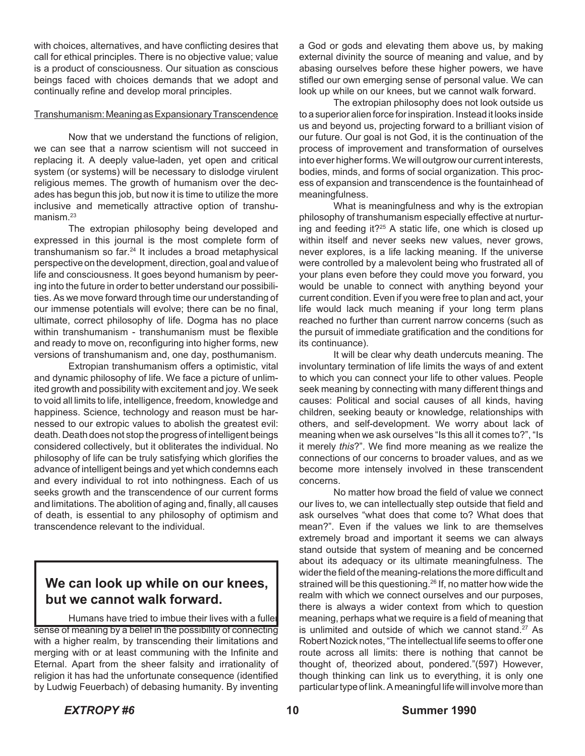with choices, alternatives, and have conflicting desires that call for ethical principles. There is no objective value; value is a product of consciousness. Our situation as conscious beings faced with choices demands that we adopt and continually refine and develop moral principles.

#### Transhumanism: Meaning as Expansionary Transcendence

Now that we understand the functions of religion, we can see that a narrow scientism will not succeed in replacing it. A deeply value-laden, yet open and critical system (or systems) will be necessary to dislodge virulent religious memes. The growth of humanism over the decades has begun this job, but now it is time to utilize the more inclusive and memetically attractive option of transhumanism.<sup>23</sup>

The extropian philosophy being developed and expressed in this journal is the most complete form of transhumanism so far.<sup>24</sup> It includes a broad metaphysical perspective on the development, direction, goal and value of life and consciousness. It goes beyond humanism by peering into the future in order to better understand our possibilities. As we move forward through time our understanding of our immense potentials will evolve; there can be no final, ultimate, correct philosophy of life. Dogma has no place within transhumanism - transhumanism must be flexible and ready to move on, reconfiguring into higher forms, new versions of transhumanism and, one day, posthumanism.

Extropian transhumanism offers a optimistic, vital and dynamic philosophy of life. We face a picture of unlimited growth and possibility with excitement and joy. We seek to void all limits to life, intelligence, freedom, knowledge and happiness. Science, technology and reason must be harnessed to our extropic values to abolish the greatest evil: death. Death does not stop the progress of intelligent beings considered collectively, but it obliterates the individual. No philosophy of life can be truly satisfying which glorifies the advance of intelligent beings and yet which condemns each and every individual to rot into nothingness. Each of us seeks growth and the transcendence of our current forms and limitations. The abolition of aging and, finally, all causes of death, is essential to any philosophy of optimism and transcendence relevant to the individual.

## **We can look up while on our knees, but we cannot walk forward.**

Humans have tried to imbue their lives with a fulle sense of meaning by a belief in the possibility of connecting with a higher realm, by transcending their limitations and merging with or at least communing with the Infinite and Eternal. Apart from the sheer falsity and irrationality of religion it has had the unfortunate consequence (identified by Ludwig Feuerbach) of debasing humanity. By inventing a God or gods and elevating them above us, by making external divinity the source of meaning and value, and by abasing ourselves before these higher powers, we have stifled our own emerging sense of personal value. We can look up while on our knees, but we cannot walk forward.

The extropian philosophy does not look outside us to a superior alien force for inspiration. Instead it looks inside us and beyond us, projecting forward to a brilliant vision of our future. Our goal is not God, it is the continuation of the process of improvement and transformation of ourselves into ever higher forms. We will outgrow our current interests, bodies, minds, and forms of social organization. This process of expansion and transcendence is the fountainhead of meaningfulness.

What is meaningfulness and why is the extropian philosophy of transhumanism especially effective at nurturing and feeding it?<sup>25</sup> A static life, one which is closed up within itself and never seeks new values, never grows, never explores, is a life lacking meaning. If the universe were controlled by a malevolent being who frustrated all of your plans even before they could move you forward, you would be unable to connect with anything beyond your current condition. Even if you were free to plan and act, your life would lack much meaning if your long term plans reached no further than current narrow concerns (such as the pursuit of immediate gratification and the conditions for its continuance).

It will be clear why death undercuts meaning. The involuntary termination of life limits the ways of and extent to which you can connect your life to other values. People seek meaning by connecting with many different things and causes: Political and social causes of all kinds, having children, seeking beauty or knowledge, relationships with others, and self-development. We worry about lack of meaning when we ask ourselves "Is this all it comes to?", "Is it merely *this*?". We find more meaning as we realize the connections of our concerns to broader values, and as we become more intensely involved in these transcendent concerns.

No matter how broad the field of value we connect our lives to, we can intellectually step outside that field and ask ourselves "what does that come to? What does that mean?". Even if the values we link to are themselves extremely broad and important it seems we can always stand outside that system of meaning and be concerned about its adequacy or its ultimate meaningfulness. The wider the field of the meaning-relations the more difficult and strained will be this questioning.<sup>26</sup> If, no matter how wide the realm with which we connect ourselves and our purposes, there is always a wider context from which to question meaning, perhaps what we require is a field of meaning that is unlimited and outside of which we cannot stand. $27$  As Robert Nozick notes, "The intellectual life seems to offer one route across all limits: there is nothing that cannot be thought of, theorized about, pondered."(597) However, though thinking can link us to everything, it is only one particular type of link. A meaningful life will involve more than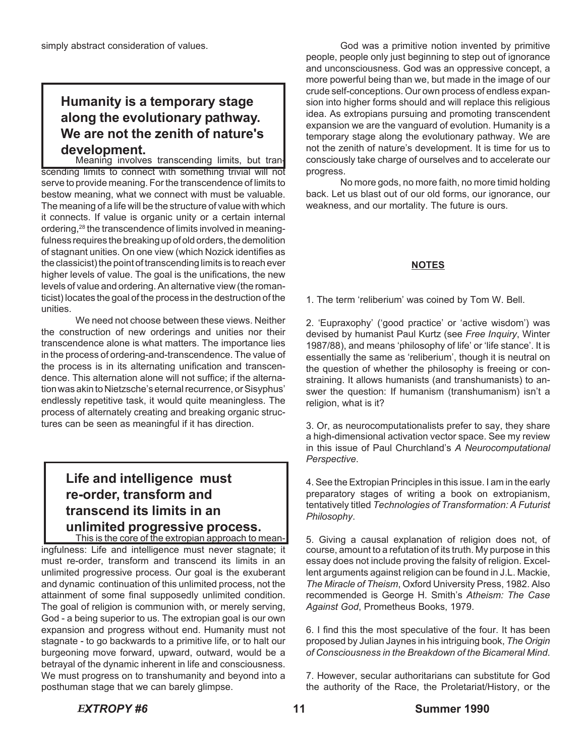## **Humanity is a temporary stage along the evolutionary pathway. We are not the zenith of nature's development.**

Meaning involves transcending limits, but transcending limits to connect with something trivial will not serve to provide meaning. For the transcendence of limits to bestow meaning, what we connect with must be valuable. The meaning of a life will be the structure of value with which it connects. If value is organic unity or a certain internal ordering,28 the transcendence of limits involved in meaningfulness requires the breaking up of old orders, the demolition of stagnant unities. On one view (which Nozick identifies as the classicist) the point of transcending limits is to reach ever higher levels of value. The goal is the unifications, the new levels of value and ordering. An alternative view (the romanticist) locates the goal of the process in the destruction of the unities.

We need not choose between these views. Neither the construction of new orderings and unities nor their transcendence alone is what matters. The importance lies in the process of ordering-and-transcendence. The value of the process is in its alternating unification and transcendence. This alternation alone will not suffice; if the alternation was akin to Nietzsche's eternal recurrence, or Sisyphus' endlessly repetitive task, it would quite meaningless. The process of alternately creating and breaking organic structures can be seen as meaningful if it has direction.

## **Life and intelligence must re-order, transform and transcend its limits in an unlimited progressive process.**

This is the core of the extropian approach to meaningfulness: Life and intelligence must never stagnate; it must re-order, transform and transcend its limits in an unlimited progressive process. Our goal is the exuberant and dynamic continuation of this unlimited process, not the attainment of some final supposedly unlimited condition. The goal of religion is communion with, or merely serving, God - a being superior to us. The extropian goal is our own expansion and progress without end. Humanity must not stagnate - to go backwards to a primitive life, or to halt our burgeoning move forward, upward, outward, would be a betrayal of the dynamic inherent in life and consciousness. We must progress on to transhumanity and beyond into a posthuman stage that we can barely glimpse.

God was a primitive notion invented by primitive people, people only just beginning to step out of ignorance and unconsciousness. God was an oppressive concept, a more powerful being than we, but made in the image of our crude self-conceptions. Our own process of endless expansion into higher forms should and will replace this religious idea. As extropians pursuing and promoting transcendent expansion we are the vanguard of evolution. Humanity is a temporary stage along the evolutionary pathway. We are not the zenith of nature's development. It is time for us to consciously take charge of ourselves and to accelerate our progress.

No more gods, no more faith, no more timid holding back. Let us blast out of our old forms, our ignorance, our weakness, and our mortality. The future is ours.

#### **NOTES**

1. The term 'reliberium' was coined by Tom W. Bell.

2. 'Eupraxophy' ('good practice' or 'active wisdom') was devised by humanist Paul Kurtz (see *Free Inquiry*, Winter 1987/88), and means 'philosophy of life' or 'life stance'. It is essentially the same as 'reliberium', though it is neutral on the question of whether the philosophy is freeing or constraining. It allows humanists (and transhumanists) to answer the question: If humanism (transhumanism) isn't a religion, what is it?

a high-dimensional activation vector space. See my review in this issue of Paul Churchland's *A Neurocomputational Perspective*. 3. Or, as neurocomputationalists prefer to say, they share

4. See the Extropian Principles in this issue. I am in the early preparatory stages of writing a book on extropianism, tentatively titled *Technologies of Transformation: A Futurist Philosophy*.

5. Giving a causal explanation of religion does not, of course, amount to a refutation of its truth. My purpose in this essay does not include proving the falsity of religion. Excellent arguments against religion can be found in J.L. Mackie, *The Miracle of Theism*, Oxford University Press, 1982. Also recommended is George H. Smith's *Atheism: The Case Against God*, Prometheus Books, 1979.

6. I find this the most speculative of the four. It has been proposed by Julian Jaynes in his intriguing book, *The Origin of Consciousness in the Breakdown of the Bicameral Mind*.

7. However, secular authoritarians can substitute for God the authority of the Race, the Proletariat/History, or the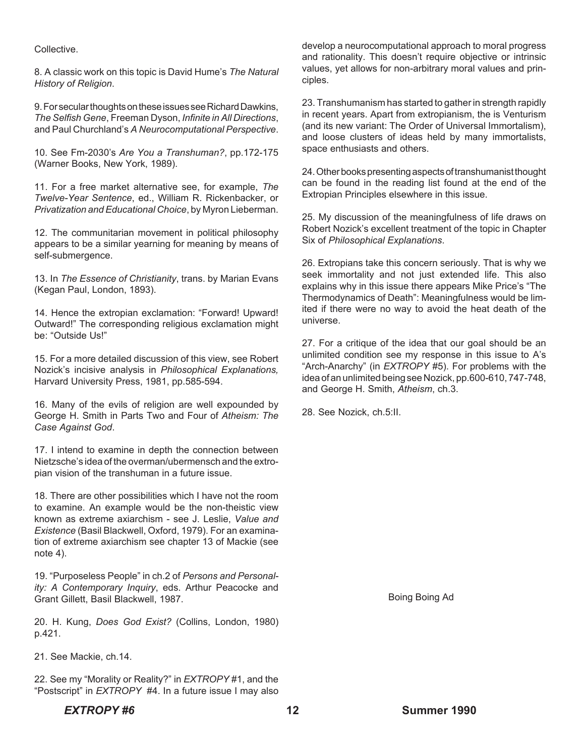Collective.

8. A classic work on this topic is David Hume's *The Natural History of Religion*.

9. For secular thoughts on these issues see Richard Dawkins, *The Selfish Gene*, Freeman Dyson, *Infinite in All Directions*, and Paul Churchland's *A Neurocomputational Perspective*.

10. See Fm-2030's *Are You a Transhuman?*, pp.172-175 (Warner Books, New York, 1989).

11. For a free market alternative see, for example, *The Twelve-Year Sentence*, ed., William R. Rickenbacker, or *Privatization and Educational Choice*, by Myron Lieberman.

12. The communitarian movement in political philosophy appears to be a similar yearning for meaning by means of self-submergence.

13. In *The Essence of Christianity*, trans. by Marian Evans (Kegan Paul, London, 1893).

14. Hence the extropian exclamation: "Forward! Upward! Outward!" The corresponding religious exclamation might be: "Outside Us!"

15. For a more detailed discussion of this view, see Robert Nozick's incisive analysis in *Philosophical Explanations,* Harvard University Press, 1981, pp.585-594.

16. Many of the evils of religion are well expounded by George H. Smith in Parts Two and Four of *Atheism: The Case Against God*.

17. I intend to examine in depth the connection between Nietzsche's idea of the overman/ubermensch and the extropian vision of the transhuman in a future issue.

18. There are other possibilities which I have not the room to examine. An example would be the non-theistic view known as extreme axiarchism - see J. Leslie, *Value and Existence* (Basil Blackwell, Oxford, 1979). For an examination of extreme axiarchism see chapter 13 of Mackie (see note 4).

19. "Purposeless People" in ch.2 of *Persons and Personality: A Contemporary Inquiry*, eds. Arthur Peacocke and Grant Gillett, Basil Blackwell, 1987.

20. H. Kung, *Does God Exist?* (Collins, London, 1980) p.421.

21. See Mackie, ch.14.

22. See my "Morality or Reality?" in *EXTROPY* #1, and the "Postscript" in *EXTROPY* #4. In a future issue I may also

*EXTROPY #6* **12 Summer 1990**

develop a neurocomputational approach to moral progress and rationality. This doesn't require objective or intrinsic values, yet allows for non-arbitrary moral values and principles.

23. Transhumanism has started to gather in strength rapidly in recent years. Apart from extropianism, the is Venturism (and its new variant: The Order of Universal Immortalism), and loose clusters of ideas held by many immortalists, space enthusiasts and others.

24. Other books presenting aspects of transhumanist thought can be found in the reading list found at the end of the Extropian Principles elsewhere in this issue.

25. My discussion of the meaningfulness of life draws on Robert Nozick's excellent treatment of the topic in Chapter Six of *Philosophical Explanations*.

26. Extropians take this concern seriously. That is why we seek immortality and not just extended life. This also explains why in this issue there appears Mike Price's "The Thermodynamics of Death": Meaningfulness would be limited if there were no way to avoid the heat death of the universe.

27. For a critique of the idea that our goal should be an unlimited condition see my response in this issue to A's "Arch-Anarchy" (in *EXTROPY* #5). For problems with the idea of an unlimited being see Nozick, pp.600-610, 747-748, and George H. Smith, *Atheism*, ch.3.

28. See Nozick, ch.5:II.

Boing Boing Ad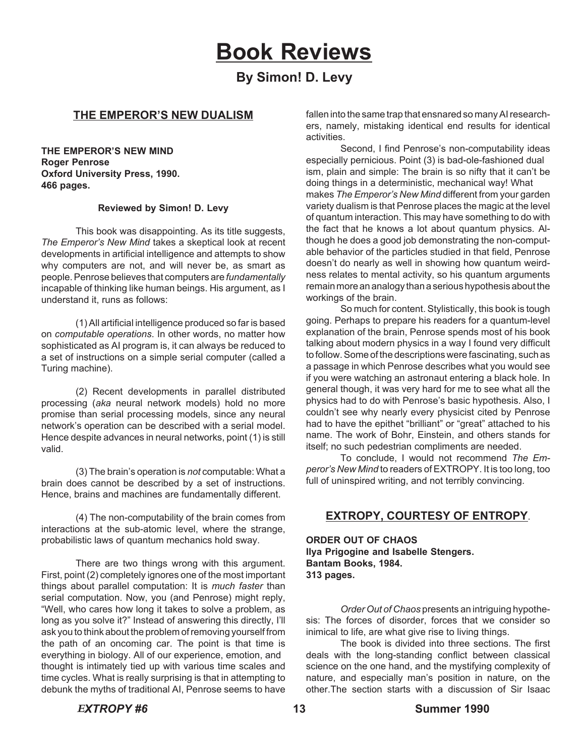## **By Simon! D. Levy**

#### **THE EMPEROR'S NEW DUALISM**

**THE EMPEROR'S NEW MIND Roger Penrose Oxford University Press, 1990. 466 pages.**

#### **Reviewed by Simon! D. Levy**

This book was disappointing. As its title suggests, *The Emperor's New Mind* takes a skeptical look at recent developments in artificial intelligence and attempts to show why computers are not, and will never be, as smart as people. Penrose believes that computers are *fundamentally* incapable of thinking like human beings. His argument, as I understand it, runs as follows:

(1) All artificial intelligence produced so far is based on *computable operations*. In other words, no matter how sophisticated as AI program is, it can always be reduced to a set of instructions on a simple serial computer (called a Turing machine).

(2) Recent developments in parallel distributed processing (*aka* neural network models) hold no more promise than serial processing models, since any neural network's operation can be described with a serial model. Hence despite advances in neural networks, point (1) is still valid.

(3) The brain's operation is *not* computable: What a brain does cannot be described by a set of instructions. Hence, brains and machines are fundamentally different.

(4) The non-computability of the brain comes from interactions at the sub-atomic level, where the strange, probabilistic laws of quantum mechanics hold sway.

There are two things wrong with this argument. First, point (2) completely ignores one of the most important things about parallel computation: It is *much faster* than serial computation. Now, you (and Penrose) might reply, "Well, who cares how long it takes to solve a problem, as long as you solve it?" Instead of answering this directly, I'll ask you to think about the problem of removing yourself from the path of an oncoming car. The point is that time is everything in biology. All of our experience, emotion, and thought is intimately tied up with various time scales and time cycles. What is really surprising is that in attempting to debunk the myths of traditional AI, Penrose seems to have fallen into the same trap that ensnared so many AI researchers, namely, mistaking identical end results for identical activities.

Second, I find Penrose's non-computability ideas especially pernicious. Point (3) is bad-ole-fashioned dual ism, plain and simple: The brain is so nifty that it can't be doing things in a deterministic, mechanical way! What makes *The Emperor's New Mind* different from your garden variety dualism is that Penrose places the magic at the level of quantum interaction. This may have something to do with the fact that he knows a lot about quantum physics. Although he does a good job demonstrating the non-computable behavior of the particles studied in that field, Penrose doesn't do nearly as well in showing how quantum weirdness relates to mental activity, so his quantum arguments remain more an analogy than a serious hypothesis about the workings of the brain.

So much for content. Stylistically, this book is tough going. Perhaps to prepare his readers for a quantum-level explanation of the brain, Penrose spends most of his book talking about modern physics in a way I found very difficult to follow. Some of the descriptions were fascinating, such as a passage in which Penrose describes what you would see if you were watching an astronaut entering a black hole. In general though, it was very hard for me to see what all the physics had to do with Penrose's basic hypothesis. Also, I couldn't see why nearly every physicist cited by Penrose had to have the epithet "brilliant" or "great" attached to his name. The work of Bohr, Einstein, and others stands for itself; no such pedestrian compliments are needed.

To conclude, I would not recommend *The Emperor's New Mind* to readers of EXTROPY. It is too long, too full of uninspired writing, and not terribly convincing.

#### **EXTROPY, COURTESY OF ENTROPY**.

**ORDER OUT OF CHAOS Ilya Prigogine and Isabelle Stengers. Bantam Books, 1984. 313 pages.**

*Order Out of Chaos* presents an intriguing hypothesis: The forces of disorder, forces that we consider so inimical to life, are what give rise to living things.

The book is divided into three sections. The first deals with the long-standing conflict between classical science on the one hand, and the mystifying complexity of nature, and especially man's position in nature, on the other.The section starts with a discussion of Sir Isaac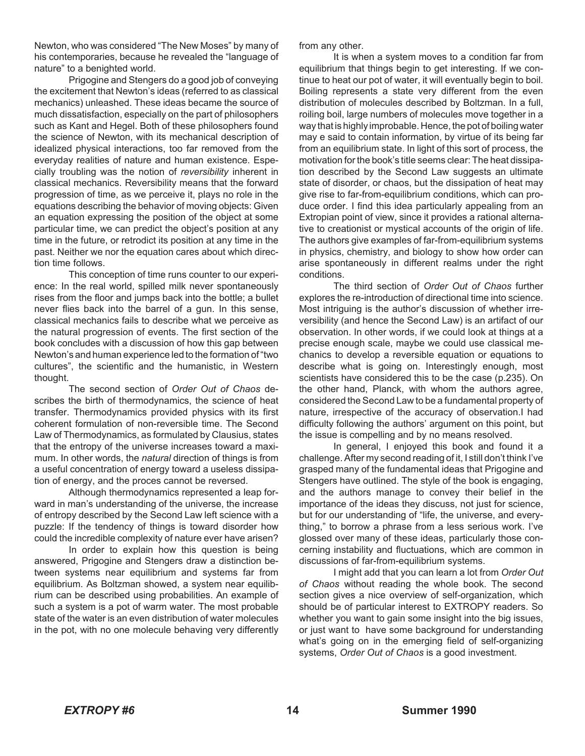Newton, who was considered "The New Moses" by many of his contemporaries, because he revealed the "language of nature" to a benighted world.

Prigogine and Stengers do a good job of conveying the excitement that Newton's ideas (referred to as classical mechanics) unleashed. These ideas became the source of much dissatisfaction, especially on the part of philosophers such as Kant and Hegel. Both of these philosophers found the science of Newton, with its mechanical description of idealized physical interactions, too far removed from the everyday realities of nature and human existence. Especially troubling was the notion of *reversibility* inherent in classical mechanics. Reversibility means that the forward progression of time, as we perceive it, plays no role in the equations describing the behavior of moving objects: Given an equation expressing the position of the object at some particular time, we can predict the object's position at any time in the future, or retrodict its position at any time in the past. Neither we nor the equation cares about which direction time follows.

This conception of time runs counter to our experience: In the real world, spilled milk never spontaneously rises from the floor and jumps back into the bottle; a bullet never flies back into the barrel of a gun. In this sense, classical mechanics fails to describe what we perceive as the natural progression of events. The first section of the book concludes with a discussion of how this gap between Newton's and human experience led to the formation of "two cultures", the scientific and the humanistic, in Western thought.

The second section of *Order Out of Chaos* describes the birth of thermodynamics, the science of heat transfer. Thermodynamics provided physics with its first coherent formulation of non-reversible time. The Second Law of Thermodynamics, as formulated by Clausius, states that the entropy of the universe increases toward a maximum. In other words, the *natural* direction of things is from a useful concentration of energy toward a useless dissipation of energy, and the proces cannot be reversed.

Although thermodynamics represented a leap forward in man's understanding of the universe, the increase of entropy described by the Second Law left science with a puzzle: If the tendency of things is toward disorder how could the incredible complexity of nature ever have arisen?

In order to explain how this question is being answered, Prigogine and Stengers draw a distinction between systems near equilibrium and systems far from equilibrium. As Boltzman showed, a system near equilibrium can be described using probabilities. An example of such a system is a pot of warm water. The most probable state of the water is an even distribution of water molecules in the pot, with no one molecule behaving very differently

from any other.

It is when a system moves to a condition far from equilibrium that things begin to get interesting. If we continue to heat our pot of water, it will eventually begin to boil. Boiling represents a state very different from the even distribution of molecules described by Boltzman. In a full, roiling boil, large numbers of molecules move together in a way that is highly improbable. Hence, the pot of boiling water may e said to contain information, by virtue of its being far from an equilibrium state. In light of this sort of process, the motivation for the book's title seems clear: The heat dissipation described by the Second Law suggests an ultimate state of disorder, or chaos, but the dissipation of heat may give rise to far-from-equilibrium conditions, which can produce order. I find this idea particularly appealing from an Extropian point of view, since it provides a rational alternative to creationist or mystical accounts of the origin of life. The authors give examples of far-from-equilibrium systems in physics, chemistry, and biology to show how order can arise spontaneously in different realms under the right conditions.

The third section of *Order Out of Chaos* further explores the re-introduction of directional time into science. Most intriguing is the author's discussion of whether irreversibility (and hence the Second Law) is an artifact of our observation. In other words, if we could look at things at a precise enough scale, maybe we could use classical mechanics to develop a reversible equation or equations to describe what is going on. Interestingly enough, most scientists have considered this to be the case (p.235). On the other hand, Planck, with whom the authors agree, considered the Second Law to be a fundamental property of nature, irrespective of the accuracy of observation.I had difficulty following the authors' argument on this point, but the issue is compelling and by no means resolved.

In general, I enjoyed this book and found it a challenge. After my second reading of it, I still don't think I've grasped many of the fundamental ideas that Prigogine and Stengers have outlined. The style of the book is engaging, and the authors manage to convey their belief in the importance of the ideas they discuss, not just for science, but for our understanding of "life, the universe, and everything," to borrow a phrase from a less serious work. I've glossed over many of these ideas, particularly those concerning instability and fluctuations, which are common in discussions of far-from-equilibrium systems.

I might add that you can learn a lot from *Order Out of Chaos* without reading the whole book. The second section gives a nice overview of self-organization, which should be of particular interest to EXTROPY readers. So whether you want to gain some insight into the big issues, or just want to have some background for understanding what's going on in the emerging field of self-organizing systems, *Order Out of Chaos* is a good investment.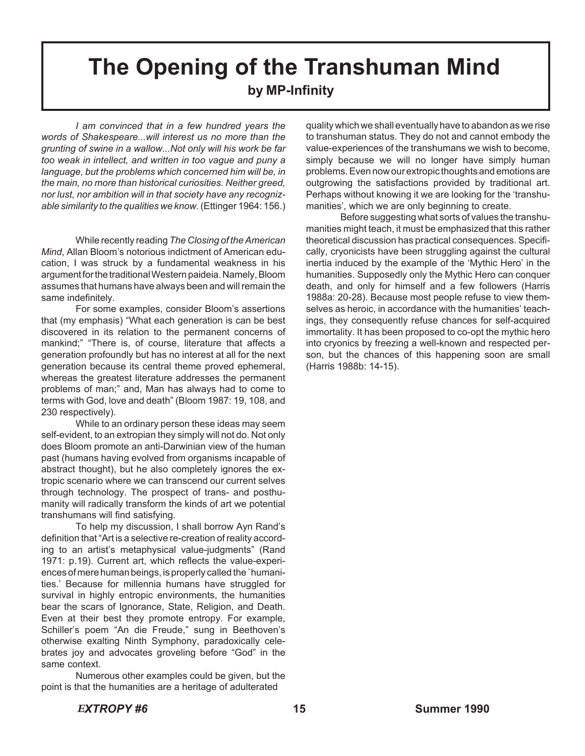## **The Opening of the Transhuman Mind by MP-Infinity**

*I am convinced that in a few hundred years the words of Shakespeare...will interest us no more than the grunting of swine in a wallow...Not only will his work be far too weak in intellect, and written in too vague and puny a language, but the problems which concerned him will be, in the main, no more than historical curiosities. Neither greed, nor lust, nor ambition will in that society have any recognizable similarity to the qualities we know.* (Ettinger 1964: 156.)

While recently reading *The Closing of the American Mind*, Allan Bloom's notorious indictment of American education, I was struck by a fundamental weakness in his argument for the traditional Western paideia. Namely, Bloom assumes that humans have always been and will remain the same indefinitely.

For some examples, consider Bloom's assertions that (my emphasis) "What each generation is can be best discovered in its relation to the permanent concerns of mankind;" "There is, of course, literature that affects a generation profoundly but has no interest at all for the next generation because its central theme proved ephemeral, whereas the greatest literature addresses the permanent problems of man;" and, Man has always had to come to terms with God, love and death" (Bloom 1987: 19, 108, and 230 respectively).

While to an ordinary person these ideas may seem self-evident, to an extropian they simply will not do. Not only does Bloom promote an anti-Darwinian view of the human past (humans having evolved from organisms incapable of abstract thought), but he also completely ignores the extropic scenario where we can transcend our current selves through technology. The prospect of trans- and posthumanity will radically transform the kinds of art we potential transhumans will find satisfying.

To help my discussion, I shall borrow Ayn Rand's definition that "Art is a selective re-creation of reality according to an artist's metaphysical value-judgments" (Rand 1971: p.19). Current art, which reflects the value-experiences of mere human beings, is properly called the `humanities.' Because for millennia humans have struggled for survival in highly entropic environments, the humanities bear the scars of Ignorance, State, Religion, and Death. Even at their best they promote entropy. For example, Schiller's poem "An die Freude," sung in Beethoven's otherwise exalting Ninth Symphony, paradoxically celebrates joy and advocates groveling before "God" in the same context.

Numerous other examples could be given, but the point is that the humanities are a heritage of adulterated

quality which we shall eventually have to abandon as we rise to transhuman status. They do not and cannot embody the value-experiences of the transhumans we wish to become, simply because we will no longer have simply human problems. Even now our extropic thoughts and emotions are outgrowing the satisfactions provided by traditional art. Perhaps without knowing it we are looking for the 'transhumanities', which we are only beginning to create.

Before suggesting what sorts of values the transhumanities might teach, it must be emphasized that this rather theoretical discussion has practical consequences. Specifically, cryonicists have been struggling against the cultural inertia induced by the example of the 'Mythic Hero' in the humanities. Supposedly only the Mythic Hero can conquer death, and only for himself and a few followers (Harris 1988a: 20-28). Because most people refuse to view themselves as heroic, in accordance with the humanities' teachings, they consequently refuse chances for self-acquired immortality. It has been proposed to co-opt the mythic hero into cryonics by freezing a well-known and respected person, but the chances of this happening soon are small (Harris 1988b: 14-15).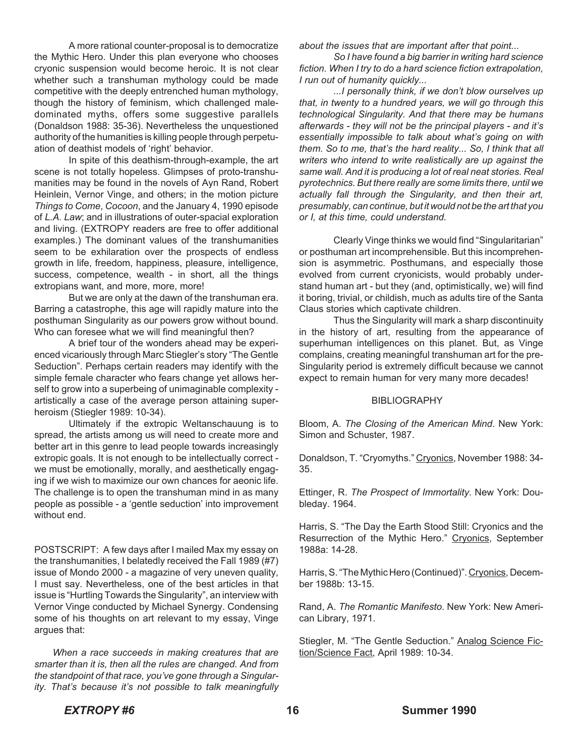A more rational counter-proposal is to democratize the Mythic Hero. Under this plan everyone who chooses cryonic suspension would become heroic. It is not clear whether such a transhuman mythology could be made competitive with the deeply entrenched human mythology, though the history of feminism, which challenged maledominated myths, offers some suggestive parallels (Donaldson 1988: 35-36). Nevertheless the unquestioned authority of the humanities is killing people through perpetuation of deathist models of 'right' behavior.

In spite of this deathism-through-example, the art scene is not totally hopeless. Glimpses of proto-transhumanities may be found in the novels of Ayn Rand, Robert Heinlein, Vernor Vinge, and others; in the motion picture *Things to Come*, *Cocoon*, and the January 4, 1990 episode of *L.A. Law*; and in illustrations of outer-spacial exploration and living. (EXTROPY readers are free to offer additional examples.) The dominant values of the transhumanities seem to be exhilaration over the prospects of endless growth in life, freedom, happiness, pleasure, intelligence, success, competence, wealth - in short, all the things extropians want, and more, more, more!

But we are only at the dawn of the transhuman era. Barring a catastrophe, this age will rapidly mature into the posthuman Singularity as our powers grow without bound. Who can foresee what we will find meaningful then?

A brief tour of the wonders ahead may be experienced vicariously through Marc Stiegler's story "The Gentle Seduction". Perhaps certain readers may identify with the simple female character who fears change yet allows herself to grow into a superbeing of unimaginable complexity artistically a case of the average person attaining superheroism (Stiegler 1989: 10-34).

Ultimately if the extropic Weltanschauung is to spread, the artists among us will need to create more and better art in this genre to lead people towards increasingly extropic goals. It is not enough to be intellectually correct we must be emotionally, morally, and aesthetically engaging if we wish to maximize our own chances for aeonic life. The challenge is to open the transhuman mind in as many people as possible - a 'gentle seduction' into improvement without end.

POSTSCRIPT: A few days after I mailed Max my essay on the transhumanities, I belatedly received the Fall 1989 (#7) issue of Mondo 2000 - a magazine of very uneven quality, I must say. Nevertheless, one of the best articles in that issue is "Hurtling Towards the Singularity", an interview with Vernor Vinge conducted by Michael Synergy. Condensing some of his thoughts on art relevant to my essay, Vinge argues that:

 *When a race succeeds in making creatures that are smarter than it is, then all the rules are changed. And from the standpoint of that race, you've gone through a Singularity. That's because it's not possible to talk meaningfully* *about the issues that are important after that point...*

*So I have found a big barrier in writing hard science fiction. When I try to do a hard science fiction extrapolation, I run out of humanity quickly...*

*...I personally think, if we don't blow ourselves up that, in twenty to a hundred years, we will go through this technological Singularity. And that there may be humans afterwards - they will not be the principal players - and it's essentially impossible to talk about what's going on with them. So to me, that's the hard reality... So, I think that all writers who intend to write realistically are up against the same wall. And it is producing a lot of real neat stories. Real pyrotechnics. But there really are some limits there, until we actually fall through the Singularity, and then their art, presumably, can continue, but it would not be the art that you or I, at this time, could understand.*

Clearly Vinge thinks we would find "Singularitarian" or posthuman art incomprehensible. But this incomprehension is asymmetric. Posthumans, and especially those evolved from current cryonicists, would probably understand human art - but they (and, optimistically, we) will find it boring, trivial, or childish, much as adults tire of the Santa Claus stories which captivate children.

Thus the Singularity will mark a sharp discontinuity in the history of art, resulting from the appearance of superhuman intelligences on this planet. But, as Vinge complains, creating meaningful transhuman art for the pre-Singularity period is extremely difficult because we cannot expect to remain human for very many more decades!

#### BIBLIOGRAPHY

Bloom, A. *The Closing of the American Mind*. New York: Simon and Schuster, 1987.

Donaldson, T. "Cryomyths." Cryonics, November 1988: 34- 35.

Ettinger, R. *The Prospect of Immortality*. New York: Doubleday. 1964.

Harris, S. "The Day the Earth Stood Still: Cryonics and the Resurrection of the Mythic Hero." Cryonics, September 1988a: 14-28.

Harris, S. "The Mythic Hero (Continued)". Cryonics, December 1988b: 13-15.

Rand, A. *The Romantic Manifesto*. New York: New American Library, 1971.

Stiegler, M. "The Gentle Seduction." Analog Science Fiction/Science Fact, April 1989: 10-34.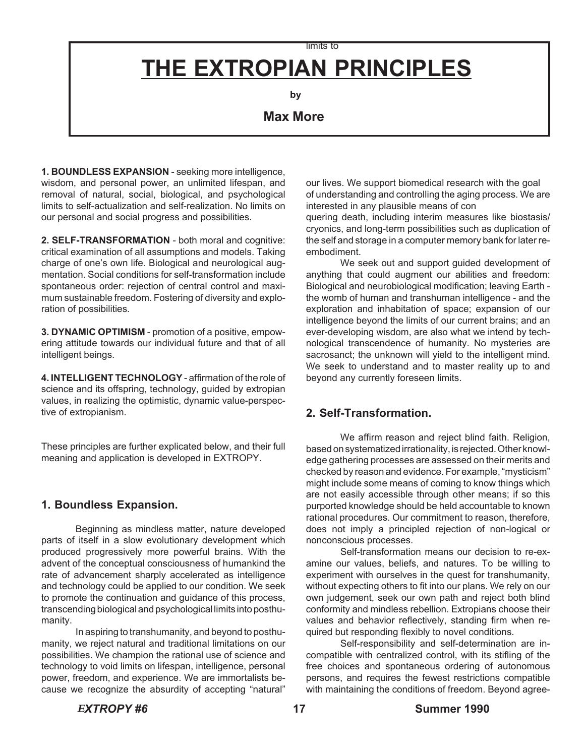## **THE EXTROPIAN PRINCIPLES**

**by**

### **Max More**

**1. BOUNDLESS EXPANSION** - seeking more intelligence, wisdom, and personal power, an unlimited lifespan, and removal of natural, social, biological, and psychological limits to self-actualization and self-realization. No limits on our personal and social progress and possibilities.

**2. SELF-TRANSFORMATION** - both moral and cognitive: critical examination of all assumptions and models. Taking charge of one's own life. Biological and neurological augmentation. Social conditions for self-transformation include spontaneous order: rejection of central control and maximum sustainable freedom. Fostering of diversity and exploration of possibilities.

**3. DYNAMIC OPTIMISM** - promotion of a positive, empowering attitude towards our individual future and that of all intelligent beings.

**4. INTELLIGENT TECHNOLOGY** - affirmation of the role of science and its offspring, technology, guided by extropian values, in realizing the optimistic, dynamic value-perspective of extropianism.

These principles are further explicated below, and their full meaning and application is developed in EXTROPY.

#### **1. Boundless Expansion.**

Beginning as mindless matter, nature developed parts of itself in a slow evolutionary development which produced progressively more powerful brains. With the advent of the conceptual consciousness of humankind the rate of advancement sharply accelerated as intelligence and technology could be applied to our condition. We seek to promote the continuation and guidance of this process, transcending biological and psychological limits into posthumanity.

In aspiring to transhumanity, and beyond to posthumanity, we reject natural and traditional limitations on our possibilities. We champion the rational use of science and technology to void limits on lifespan, intelligence, personal power, freedom, and experience. We are immortalists because we recognize the absurdity of accepting "natural" our lives. We support biomedical research with the goal of understanding and controlling the aging process. We are interested in any plausible means of con

quering death, including interim measures like biostasis/ cryonics, and long-term possibilities such as duplication of the self and storage in a computer memory bank for later reembodiment.

We seek out and support guided development of anything that could augment our abilities and freedom: Biological and neurobiological modification; leaving Earth the womb of human and transhuman intelligence - and the exploration and inhabitation of space; expansion of our intelligence beyond the limits of our current brains; and an ever-developing wisdom, are also what we intend by technological transcendence of humanity. No mysteries are sacrosanct; the unknown will yield to the intelligent mind. We seek to understand and to master reality up to and beyond any currently foreseen limits.

#### **2. Self-Transformation.**

We affirm reason and reject blind faith. Religion, based on systematized irrationality, is rejected. Other knowledge gathering processes are assessed on their merits and checked by reason and evidence. For example, "mysticism" might include some means of coming to know things which are not easily accessible through other means; if so this purported knowledge should be held accountable to known rational procedures. Our commitment to reason, therefore, does not imply a principled rejection of non-logical or nonconscious processes.

Self-transformation means our decision to re-examine our values, beliefs, and natures. To be willing to experiment with ourselves in the quest for transhumanity, without expecting others to fit into our plans. We rely on our own judgement, seek our own path and reject both blind conformity and mindless rebellion. Extropians choose their values and behavior reflectively, standing firm when required but responding flexibly to novel conditions.

Self-responsibility and self-determination are incompatible with centralized control, with its stifling of the free choices and spontaneous ordering of autonomous persons, and requires the fewest restrictions compatible with maintaining the conditions of freedom. Beyond agree-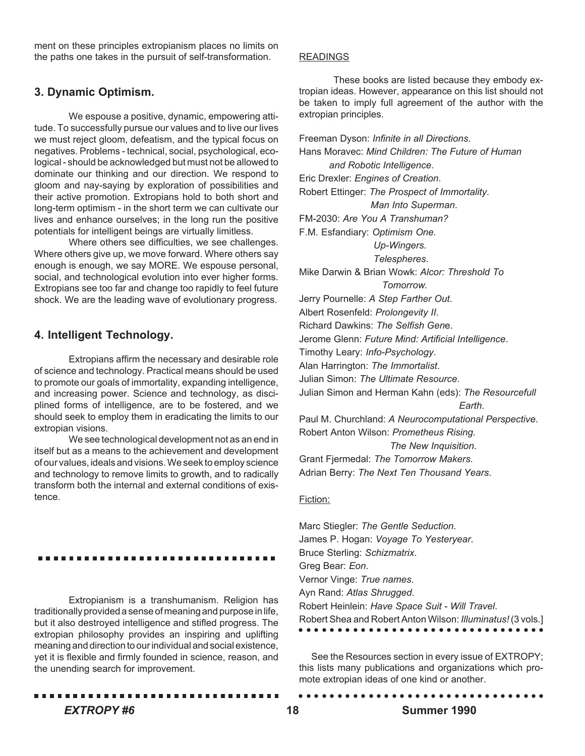ment on these principles extropianism places no limits on the paths one takes in the pursuit of self-transformation.

#### **3. Dynamic Optimism.**

We espouse a positive, dynamic, empowering attitude. To successfully pursue our values and to live our lives we must reject gloom, defeatism, and the typical focus on negatives. Problems - technical, social, psychological, ecological - should be acknowledged but must not be allowed to dominate our thinking and our direction. We respond to gloom and nay-saying by exploration of possibilities and their active promotion. Extropians hold to both short and long-term optimism - in the short term we can cultivate our lives and enhance ourselves; in the long run the positive potentials for intelligent beings are virtually limitless.

Where others see difficulties, we see challenges. Where others give up, we move forward. Where others say enough is enough, we say MORE. We espouse personal, social, and technological evolution into ever higher forms. Extropians see too far and change too rapidly to feel future shock. We are the leading wave of evolutionary progress.

#### **4. Intelligent Technology.**

Extropians affirm the necessary and desirable role of science and technology. Practical means should be used to promote our goals of immortality, expanding intelligence, and increasing power. Science and technology, as disciplined forms of intelligence, are to be fostered, and we should seek to employ them in eradicating the limits to our extropian visions.

We see technological development not as an end in itself but as a means to the achievement and development of our values, ideals and visions. We seek to employ science and technology to remove limits to growth, and to radically transform both the internal and external conditions of existence.

#### ...............................

Extropianism is a transhumanism. Religion has traditionally provided a sense of meaning and purpose in life, but it also destroyed intelligence and stifled progress. The extropian philosophy provides an inspiring and uplifting meaning and direction to our individual and social existence, yet it is flexible and firmly founded in science, reason, and the unending search for improvement.

#### READINGS

These books are listed because they embody extropian ideas. However, appearance on this list should not be taken to imply full agreement of the author with the extropian principles.

Freeman Dyson: *Infinite in all Directions*. Hans Moravec: *Mind Children: The Future of Human and Robotic Intelligence*. Eric Drexler: *Engines of Creation*. Robert Ettinger: *The Prospect of Immortality*. *Man Into Superman*. FM-2030: *Are You A Transhuman?* F.M. Esfandiary: *Optimism One. Up-Wingers. Telespheres*. Mike Darwin & Brian Wowk: *Alcor: Threshold To Tomorrow.* Jerry Pournelle: *A Step Farther Out*. Albert Rosenfeld: *Prolongevity II*. Richard Dawkins: *The Selfish Gen*e. Jerome Glenn: *Future Mind: Artificial Intelligence*. Timothy Leary: *Info-Psychology*. Alan Harrington: *The Immortalist*. Julian Simon: *The Ultimate Resource*. Julian Simon and Herman Kahn (eds): *The Resourcefull Earth*. Paul M. Churchland: *A Neurocomputational Perspective*. Robert Anton Wilson: *Prometheus Rising. The New Inquisition*. Grant Fjermedal: *The Tomorrow Makers*. Adrian Berry: *The Next Ten Thousand Years*.

#### Fiction:

Marc Stiegler: *The Gentle Seduction*. James P. Hogan: *Voyage To Yesteryear*. Bruce Sterling: *Schizmatrix*. Greg Bear: *Eon*. Vernor Vinge: *True names*. Ayn Rand: *Atlas Shrugged*. Robert Heinlein: *Have Space Suit - Will Travel*. Robert Shea and Robert Anton Wilson: *Illuminatus!* (3 vols.] ○ ○ ○ ○ ○ ○ ○ ○ ○ ○ ○ ○ ○ ○ ○ ○ ○ ○ ○ ○ ○ ○ ○ ○ ○ ○ ○ ○ ○ ○ ○ ○

 See the Resources section in every issue of EXTROPY; this lists many publications and organizations which promote extropian ideas of one kind or another.

○ ○ ○ ○ ○ ○ ○ ○ ○ ○ ○ ○ ○ ○ ○ ○ ○ ○ ○ ○ ○ ○ ○ ○ ○ ○ ○ ○ ○ ○ ○ ○

*EXTROPY #6* **18 Summer 1990**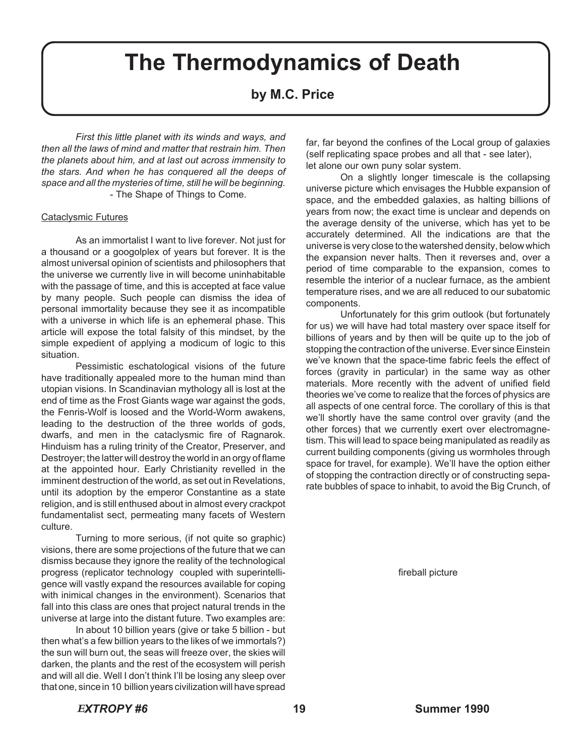## **The Thermodynamics of Death**

### **by M.C. Price**

*First this little planet with its winds and ways, and then all the laws of mind and matter that restrain him. Then the planets about him, and at last out across immensity to the stars. And when he has conquered all the deeps of space and all the mysteries of time, still he will be beginning.* - The Shape of Things to Come.

#### Cataclysmic Futures

As an immortalist I want to live forever. Not just for a thousand or a googolplex of years but forever. It is the almost universal opinion of scientists and philosophers that the universe we currently live in will become uninhabitable with the passage of time, and this is accepted at face value by many people. Such people can dismiss the idea of personal immortality because they see it as incompatible with a universe in which life is an ephemeral phase. This article will expose the total falsity of this mindset, by the simple expedient of applying a modicum of logic to this situation.

Pessimistic eschatological visions of the future have traditionally appealed more to the human mind than utopian visions. In Scandinavian mythology all is lost at the end of time as the Frost Giants wage war against the gods, the Fenris-Wolf is loosed and the World-Worm awakens, leading to the destruction of the three worlds of gods, dwarfs, and men in the cataclysmic fire of Ragnarok. Hinduism has a ruling trinity of the Creator, Preserver, and Destroyer; the latter will destroy the world in an orgy of flame at the appointed hour. Early Christianity revelled in the imminent destruction of the world, as set out in Revelations, until its adoption by the emperor Constantine as a state religion, and is still enthused about in almost every crackpot fundamentalist sect, permeating many facets of Western culture.

Turning to more serious, (if not quite so graphic) visions, there are some projections of the future that we can dismiss because they ignore the reality of the technological progress (replicator technology coupled with superintelligence will vastly expand the resources available for coping with inimical changes in the environment). Scenarios that fall into this class are ones that project natural trends in the universe at large into the distant future. Two examples are:

In about 10 billion years (give or take 5 billion - but then what's a few billion years to the likes of we immortals?) the sun will burn out, the seas will freeze over, the skies will darken, the plants and the rest of the ecosystem will perish and will all die. Well I don't think I'll be losing any sleep over that one, since in 10 billion years civilization will have spread

far, far beyond the confines of the Local group of galaxies (self replicating space probes and all that - see later), let alone our own puny solar system.

On a slightly longer timescale is the collapsing universe picture which envisages the Hubble expansion of space, and the embedded galaxies, as halting billions of years from now; the exact time is unclear and depends on the average density of the universe, which has yet to be accurately determined. All the indications are that the universe is very close to the watershed density, below which the expansion never halts. Then it reverses and, over a period of time comparable to the expansion, comes to resemble the interior of a nuclear furnace, as the ambient temperature rises, and we are all reduced to our subatomic components.

Unfortunately for this grim outlook (but fortunately for us) we will have had total mastery over space itself for billions of years and by then will be quite up to the job of stopping the contraction of the universe. Ever since Einstein we've known that the space-time fabric feels the effect of forces (gravity in particular) in the same way as other materials. More recently with the advent of unified field theories we've come to realize that the forces of physics are all aspects of one central force. The corollary of this is that we'll shortly have the same control over gravity (and the other forces) that we currently exert over electromagnetism. This will lead to space being manipulated as readily as current building components (giving us wormholes through space for travel, for example). We'll have the option either of stopping the contraction directly or of constructing separate bubbles of space to inhabit, to avoid the Big Crunch, of

fireball picture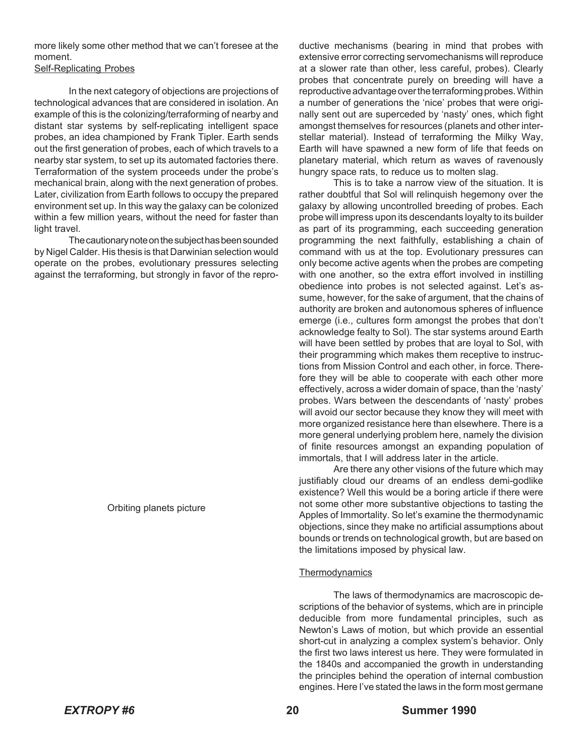more likely some other method that we can't foresee at the moment.

#### Self-Replicating Probes

In the next category of objections are projections of technological advances that are considered in isolation. An example of this is the colonizing/terraforming of nearby and distant star systems by self-replicating intelligent space probes, an idea championed by Frank Tipler. Earth sends out the first generation of probes, each of which travels to a nearby star system, to set up its automated factories there. Terraformation of the system proceeds under the probe's mechanical brain, along with the next generation of probes. Later, civilization from Earth follows to occupy the prepared environment set up. In this way the galaxy can be colonized within a few million years, without the need for faster than light travel.

The cautionary note on the subject has been sounded by Nigel Calder. His thesis is that Darwinian selection would operate on the probes, evolutionary pressures selecting against the terraforming, but strongly in favor of the repro-

Orbiting planets picture

ductive mechanisms (bearing in mind that probes with extensive error correcting servomechanisms will reproduce at a slower rate than other, less careful, probes). Clearly probes that concentrate purely on breeding will have a reproductive advantage over the terraforming probes. Within a number of generations the 'nice' probes that were originally sent out are superceded by 'nasty' ones, which fight amongst themselves for resources (planets and other interstellar material). Instead of terraforming the Milky Way, Earth will have spawned a new form of life that feeds on planetary material, which return as waves of ravenously hungry space rats, to reduce us to molten slag.

This is to take a narrow view of the situation. It is rather doubtful that Sol will relinquish hegemony over the galaxy by allowing uncontrolled breeding of probes. Each probe will impress upon its descendants loyalty to its builder as part of its programming, each succeeding generation programming the next faithfully, establishing a chain of command with us at the top. Evolutionary pressures can only become active agents when the probes are competing with one another, so the extra effort involved in instilling obedience into probes is not selected against. Let's assume, however, for the sake of argument, that the chains of authority are broken and autonomous spheres of influence emerge (i.e., cultures form amongst the probes that don't acknowledge fealty to Sol). The star systems around Earth will have been settled by probes that are loyal to Sol, with their programming which makes them receptive to instructions from Mission Control and each other, in force. Therefore they will be able to cooperate with each other more effectively, across a wider domain of space, than the 'nasty' probes. Wars between the descendants of 'nasty' probes will avoid our sector because they know they will meet with more organized resistance here than elsewhere. There is a more general underlying problem here, namely the division of finite resources amongst an expanding population of immortals, that I will address later in the article.

Are there any other visions of the future which may justifiably cloud our dreams of an endless demi-godlike existence? Well this would be a boring article if there were not some other more substantive objections to tasting the Apples of Immortality. So let's examine the thermodynamic objections, since they make no artificial assumptions about bounds or trends on technological growth, but are based on the limitations imposed by physical law.

#### **Thermodynamics**

The laws of thermodynamics are macroscopic descriptions of the behavior of systems, which are in principle deducible from more fundamental principles, such as Newton's Laws of motion, but which provide an essential short-cut in analyzing a complex system's behavior. Only the first two laws interest us here. They were formulated in the 1840s and accompanied the growth in understanding the principles behind the operation of internal combustion engines. Here I've stated the laws in the form most germane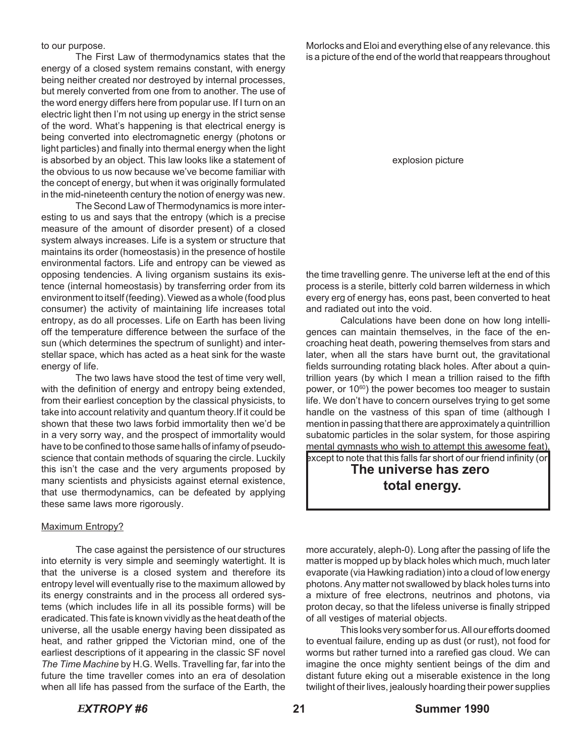#### to our purpose.

The First Law of thermodynamics states that the energy of a closed system remains constant, with energy being neither created nor destroyed by internal processes, but merely converted from one from to another. The use of the word energy differs here from popular use. If I turn on an electric light then I'm not using up energy in the strict sense of the word. What's happening is that electrical energy is being converted into electromagnetic energy (photons or light particles) and finally into thermal energy when the light is absorbed by an object. This law looks like a statement of the obvious to us now because we've become familiar with the concept of energy, but when it was originally formulated in the mid-nineteenth century the notion of energy was new.

The Second Law of Thermodynamics is more interesting to us and says that the entropy (which is a precise measure of the amount of disorder present) of a closed system always increases. Life is a system or structure that maintains its order (homeostasis) in the presence of hostile environmental factors. Life and entropy can be viewed as opposing tendencies. A living organism sustains its existence (internal homeostasis) by transferring order from its environment to itself (feeding). Viewed as a whole (food plus consumer) the activity of maintaining life increases total entropy, as do all processes. Life on Earth has been living off the temperature difference between the surface of the sun (which determines the spectrum of sunlight) and interstellar space, which has acted as a heat sink for the waste energy of life.

The two laws have stood the test of time very well, with the definition of energy and entropy being extended, from their earliest conception by the classical physicists, to take into account relativity and quantum theory.If it could be shown that these two laws forbid immortality then we'd be in a very sorry way, and the prospect of immortality would have to be confined to those same halls of infamy of pseudoscience that contain methods of squaring the circle. Luckily this isn't the case and the very arguments proposed by many scientists and physicists against eternal existence, that use thermodynamics, can be defeated by applying these same laws more rigorously.

#### Maximum Entropy?

The case against the persistence of our structures into eternity is very simple and seemingly watertight. It is that the universe is a closed system and therefore its entropy level will eventually rise to the maximum allowed by its energy constraints and in the process all ordered systems (which includes life in all its possible forms) will be eradicated. This fate is known vividly as the heat death of the universe, all the usable energy having been dissipated as heat, and rather gripped the Victorian mind, one of the earliest descriptions of it appearing in the classic SF novel *The Time Machine* by H.G. Wells. Travelling far, far into the future the time traveller comes into an era of desolation when all life has passed from the surface of the Earth, the Morlocks and Eloi and everything else of any relevance. this is a picture of the end of the world that reappears throughout

explosion picture

the time travelling genre. The universe left at the end of this process is a sterile, bitterly cold barren wilderness in which every erg of energy has, eons past, been converted to heat and radiated out into the void.

Calculations have been done on how long intelligences can maintain themselves, in the face of the encroaching heat death, powering themselves from stars and later, when all the stars have burnt out, the gravitational fields surrounding rotating black holes. After about a quintrillion years (by which I mean a trillion raised to the fifth power, or 10<sup>60</sup>) the power becomes too meager to sustain life. We don't have to concern ourselves trying to get some handle on the vastness of this span of time (although I mention in passing that there are approximately a quintrillion subatomic particles in the solar system, for those aspiring mental gymnasts who wish to attempt this awesome feat), except to note that this falls far short of our friend infinity (or

**The universe has zero total energy.**

more accurately, aleph-0). Long after the passing of life the matter is mopped up by black holes which much, much later evaporate (via Hawking radiation) into a cloud of low energy photons. Any matter not swallowed by black holes turns into a mixture of free electrons, neutrinos and photons, via proton decay, so that the lifeless universe is finally stripped of all vestiges of material objects.

This looks very somber for us. All our efforts doomed to eventual failure, ending up as dust (or rust), not food for worms but rather turned into a rarefied gas cloud. We can imagine the once mighty sentient beings of the dim and distant future eking out a miserable existence in the long twilight of their lives, jealously hoarding their power supplies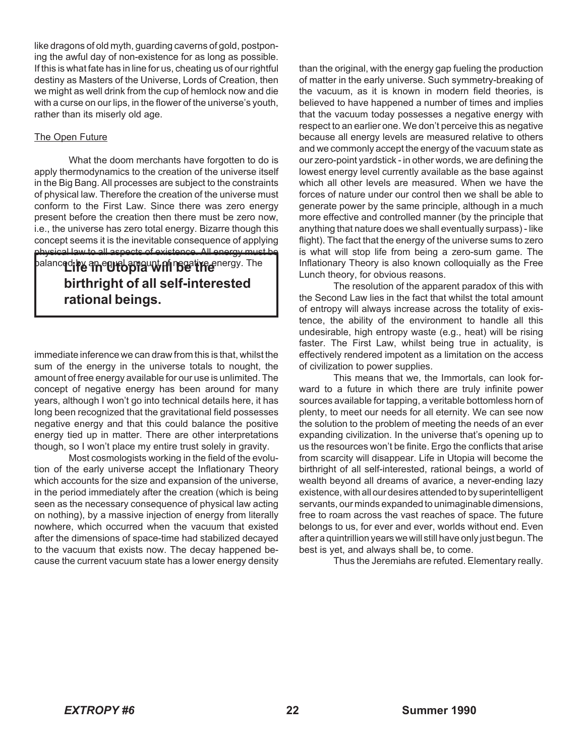like dragons of old myth, guarding caverns of gold, postponing the awful day of non-existence for as long as possible. If this is what fate has in line for us, cheating us of our rightful destiny as Masters of the Universe, Lords of Creation, then we might as well drink from the cup of hemlock now and die with a curse on our lips, in the flower of the universe's youth, rather than its miserly old age.

#### The Open Future

What the doom merchants have forgotten to do is apply thermodynamics to the creation of the universe itself in the Big Bang. All processes are subject to the constraints of physical law. Therefore the creation of the universe must conform to the First Law. Since there was zero energy present before the creation then there must be zero now, i.e., the universe has zero total energy. Bizarre though this concept seems it is the inevitable consequence of applying physical law to all aspects of existence. All energy must be

## palanc**ed by an europia will negative e**nergy. The **birthright of all self-interested rational beings.**

immediate inference we can draw from this is that, whilst the sum of the energy in the universe totals to nought, the amount of free energy available for our use is unlimited. The concept of negative energy has been around for many years, although I won't go into technical details here, it has long been recognized that the gravitational field possesses negative energy and that this could balance the positive energy tied up in matter. There are other interpretations though, so I won't place my entire trust solely in gravity.

Most cosmologists working in the field of the evolution of the early universe accept the Inflationary Theory which accounts for the size and expansion of the universe, in the period immediately after the creation (which is being seen as the necessary consequence of physical law acting on nothing), by a massive injection of energy from literally nowhere, which occurred when the vacuum that existed after the dimensions of space-time had stabilized decayed to the vacuum that exists now. The decay happened because the current vacuum state has a lower energy density than the original, with the energy gap fueling the production of matter in the early universe. Such symmetry-breaking of the vacuum, as it is known in modern field theories, is believed to have happened a number of times and implies that the vacuum today possesses a negative energy with respect to an earlier one. We don't perceive this as negative because all energy levels are measured relative to others and we commonly accept the energy of the vacuum state as our zero-point yardstick - in other words, we are defining the lowest energy level currently available as the base against which all other levels are measured. When we have the forces of nature under our control then we shall be able to generate power by the same principle, although in a much more effective and controlled manner (by the principle that anything that nature does we shall eventually surpass) - like flight). The fact that the energy of the universe sums to zero is what will stop life from being a zero-sum game. The Inflationary Theory is also known colloquially as the Free Lunch theory, for obvious reasons.

The resolution of the apparent paradox of this with the Second Law lies in the fact that whilst the total amount of entropy will always increase across the totality of existence, the ability of the environment to handle all this undesirable, high entropy waste (e.g., heat) will be rising faster. The First Law, whilst being true in actuality, is effectively rendered impotent as a limitation on the access of civilization to power supplies.

This means that we, the Immortals, can look forward to a future in which there are truly infinite power sources available for tapping, a veritable bottomless horn of plenty, to meet our needs for all eternity. We can see now the solution to the problem of meeting the needs of an ever expanding civilization. In the universe that's opening up to us the resources won't be finite. Ergo the conflicts that arise from scarcity will disappear. Life in Utopia will become the birthright of all self-interested, rational beings, a world of wealth beyond all dreams of avarice, a never-ending lazy existence, with all our desires attended to by superintelligent servants, our minds expanded to unimaginable dimensions, free to roam across the vast reaches of space. The future belongs to us, for ever and ever, worlds without end. Even after a quintrillion years we will still have only just begun. The best is yet, and always shall be, to come.

Thus the Jeremiahs are refuted. Elementary really.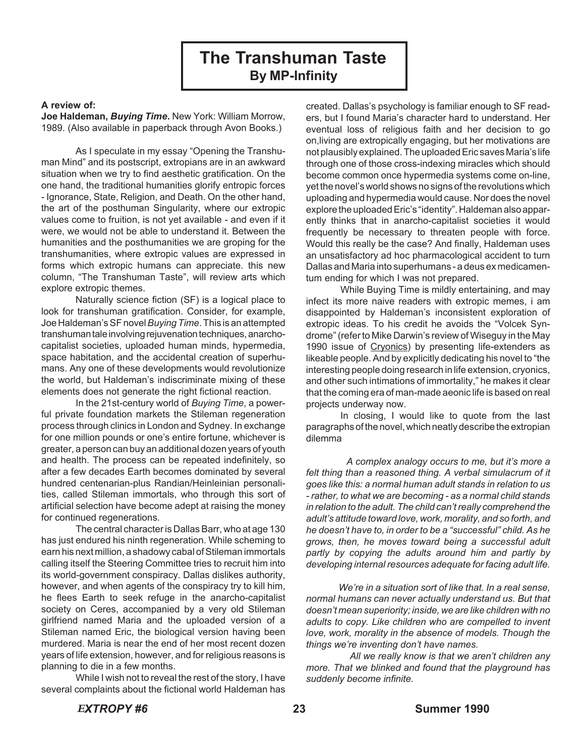## **The Transhuman Taste By MP-Infinity**

#### **A review of:**

**Joe Haldeman,** *Buying Time***.** New York: William Morrow, 1989. (Also available in paperback through Avon Books.)

As I speculate in my essay "Opening the Transhuman Mind" and its postscript, extropians are in an awkward situation when we try to find aesthetic gratification. On the one hand, the traditional humanities glorify entropic forces - Ignorance, State, Religion, and Death. On the other hand, the art of the posthuman Singularity, where our extropic values come to fruition, is not yet available - and even if it were, we would not be able to understand it. Between the humanities and the posthumanities we are groping for the transhumanities, where extropic values are expressed in forms which extropic humans can appreciate. this new column, "The Transhuman Taste", will review arts which explore extropic themes.

Naturally science fiction (SF) is a logical place to look for transhuman gratification. Consider, for example, Joe Haldeman's SF novel *Buying Time*. This is an attempted transhuman tale involving rejuvenation techniques, anarchocapitalist societies, uploaded human minds, hypermedia, space habitation, and the accidental creation of superhumans. Any one of these developments would revolutionize the world, but Haldeman's indiscriminate mixing of these elements does not generate the right fictional reaction.

In the 21st-century world of *Buying Time*, a powerful private foundation markets the Stileman regeneration process through clinics in London and Sydney. In exchange for one million pounds or one's entire fortune, whichever is greater, a person can buy an additional dozen years of youth and health. The process can be repeated indefinitely, so after a few decades Earth becomes dominated by several hundred centenarian-plus Randian/Heinleinian personalities, called Stileman immortals, who through this sort of artificial selection have become adept at raising the money for continued regenerations.

The central character is Dallas Barr, who at age 130 has just endured his ninth regeneration. While scheming to earn his next million, a shadowy cabal of Stileman immortals calling itself the Steering Committee tries to recruit him into its world-government conspiracy. Dallas dislikes authority, however, and when agents of the conspiracy try to kill him, he flees Earth to seek refuge in the anarcho-capitalist society on Ceres, accompanied by a very old Stileman girlfriend named Maria and the uploaded version of a Stileman named Eric, the biological version having been murdered. Maria is near the end of her most recent dozen years of life extension, however, and for religious reasons is planning to die in a few months.

While I wish not to reveal the rest of the story, I have several complaints about the fictional world Haldeman has created. Dallas's psychology is familiar enough to SF readers, but I found Maria's character hard to understand. Her eventual loss of religious faith and her decision to go on,living are extropically engaging, but her motivations are not plausibly explained. The uploaded Eric saves Maria's life through one of those cross-indexing miracles which should become common once hypermedia systems come on-line, yet the novel's world shows no signs of the revolutions which uploading and hypermedia would cause. Nor does the novel explore the uploaded Eric's "identity". Haldeman also apparently thinks that in anarcho-capitalist societies it would frequently be necessary to threaten people with force. Would this really be the case? And finally, Haldeman uses an unsatisfactory ad hoc pharmacological accident to turn Dallas and Maria into superhumans - a deus ex medicamentum ending for which I was not prepared.

While Buying Time is mildly entertaining, and may infect its more naive readers with extropic memes, i am disappointed by Haldeman's inconsistent exploration of extropic ideas. To his credit he avoids the "Volcek Syndrome" (refer to Mike Darwin's review of Wiseguy in the May 1990 issue of Cryonics) by presenting life-extenders as likeable people. And by explicitly dedicating his novel to "the interesting people doing research in life extension, cryonics, and other such intimations of immortality," he makes it clear that the coming era of man-made aeonic life is based on real projects underway now.

In closing, I would like to quote from the last paragraphs of the novel, which neatly describe the extropian dilemma

 *A complex analogy occurs to me, but it's more a felt thing than a reasoned thing. A verbal simulacrum of it goes like this: a normal human adult stands in relation to us - rather, to what we are becoming - as a normal child stands in relation to the adult. The child can't really comprehend the adult's attitude toward love, work, morality, and so forth, and he doesn't have to, in order to be a "successful" child. As he grows, then, he moves toward being a successful adult partly by copying the adults around him and partly by developing internal resources adequate for facing adult life.*

 *We're in a situation sort of like that. In a real sense, normal humans can never actually understand us. But that doesn't mean superiority; inside, we are like children with no adults to copy. Like children who are compelled to invent love, work, morality in the absence of models. Though the things we're inventing don't have names.*

 *All we really know is that we aren't children any more. That we blinked and found that the playground has suddenly become infinite.*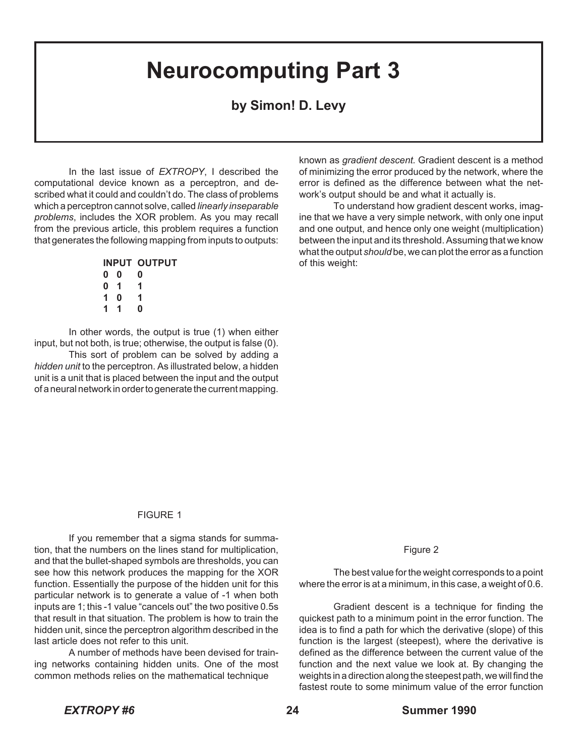## **Neurocomputing Part 3**

### **by Simon! D. Levy**

In the last issue of *EXTROPY*, I described the computational device known as a perceptron, and described what it could and couldn't do. The class of problems which a perceptron cannot solve, called *linearly inseparable problems*, includes the XOR problem. As you may recall from the previous article, this problem requires a function that generates the following mapping from inputs to outputs:

|   |   | <b>INPUT OUTPUT</b> |
|---|---|---------------------|
| 0 | 0 | Ω                   |
| Ω | 1 | 1                   |
| 1 | n | 1                   |
| 1 | 1 | Ω                   |

In other words, the output is true (1) when either input, but not both, is true; otherwise, the output is false (0).

This sort of problem can be solved by adding a *hidden unit* to the perceptron. As illustrated below, a hidden unit is a unit that is placed between the input and the output of a neural network in order to generate the current mapping.

known as *gradient descent.* Gradient descent is a method of minimizing the error produced by the network, where the error is defined as the difference between what the network's output should be and what it actually is.

To understand how gradient descent works, imagine that we have a very simple network, with only one input and one output, and hence only one weight (multiplication) between the input and its threshold. Assuming that we know what the output *should* be, we can plot the error as a function of this weight:

#### FIGURE 1

If you remember that a sigma stands for summation, that the numbers on the lines stand for multiplication, and that the bullet-shaped symbols are thresholds, you can see how this network produces the mapping for the XOR function. Essentially the purpose of the hidden unit for this particular network is to generate a value of -1 when both inputs are 1; this -1 value "cancels out" the two positive 0.5s that result in that situation. The problem is how to train the hidden unit, since the perceptron algorithm described in the last article does not refer to this unit.

A number of methods have been devised for training networks containing hidden units. One of the most common methods relies on the mathematical technique

#### Figure 2

The best value for the weight corresponds to a point where the error is at a minimum, in this case, a weight of 0.6.

Gradient descent is a technique for finding the quickest path to a minimum point in the error function. The idea is to find a path for which the derivative (slope) of this function is the largest (steepest), where the derivative is defined as the difference between the current value of the function and the next value we look at. By changing the weights in a direction along the steepest path, we will find the fastest route to some minimum value of the error function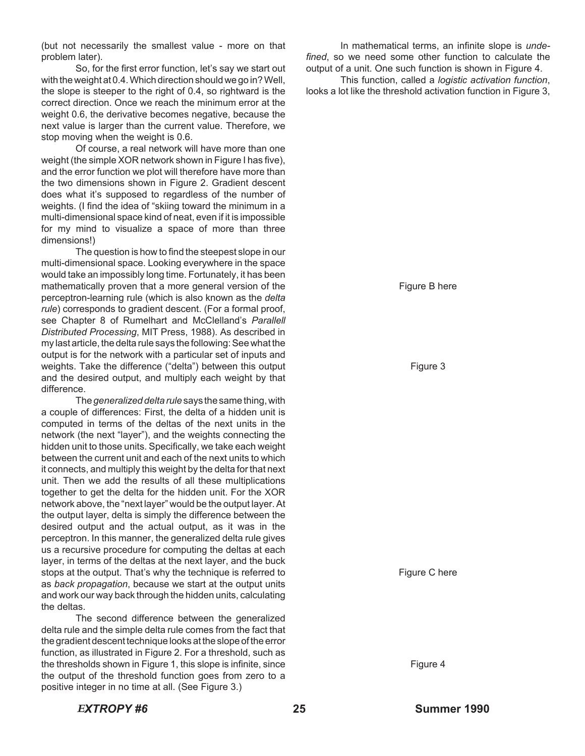(but not necessarily the smallest value - more on that problem later).

So, for the first error function, let's say we start out with the weight at 0.4. Which direction should we go in? Well, the slope is steeper to the right of 0.4, so rightward is the correct direction. Once we reach the minimum error at the weight 0.6, the derivative becomes negative, because the next value is larger than the current value. Therefore, we stop moving when the weight is 0.6.

Of course, a real network will have more than one weight (the simple XOR network shown in Figure I has five), and the error function we plot will therefore have more than the two dimensions shown in Figure 2. Gradient descent does what it's supposed to regardless of the number of weights. (I find the idea of "skiing toward the minimum in a multi-dimensional space kind of neat, even if it is impossible for my mind to visualize a space of more than three dimensions!)

The question is how to find the steepest slope in our multi-dimensional space. Looking everywhere in the space would take an impossibly long time. Fortunately, it has been mathematically proven that a more general version of the perceptron-learning rule (which is also known as the *delta rule*) corresponds to gradient descent. (For a formal proof, see Chapter 8 of Rumelhart and McClelland's *Parallell Distributed Processing*, MIT Press, 1988). As described in my last article, the delta rule says the following: See what the output is for the network with a particular set of inputs and weights. Take the difference ("delta") between this output and the desired output, and multiply each weight by that difference.

The *generalized delta rule* says the same thing, with a couple of differences: First, the delta of a hidden unit is computed in terms of the deltas of the next units in the network (the next "layer"), and the weights connecting the hidden unit to those units. Specifically, we take each weight between the current unit and each of the next units to which it connects, and multiply this weight by the delta for that next unit. Then we add the results of all these multiplications together to get the delta for the hidden unit. For the XOR network above, the "next layer" would be the output layer. At the output layer, delta is simply the difference between the desired output and the actual output, as it was in the perceptron. In this manner, the generalized delta rule gives us a recursive procedure for computing the deltas at each layer, in terms of the deltas at the next layer, and the buck stops at the output. That's why the technique is referred to as *back propagation*, because we start at the output units and work our way back through the hidden units, calculating the deltas.

The second difference between the generalized delta rule and the simple delta rule comes from the fact that the gradient descent technique looks at the slope of the error function, as illustrated in Figure 2. For a threshold, such as the thresholds shown in Figure 1, this slope is infinite, since the output of the threshold function goes from zero to a positive integer in no time at all. (See Figure 3.)

In mathematical terms, an infinite slope is *undefined*, so we need some other function to calculate the output of a unit. One such function is shown in Figure 4.

This function, called a *logistic activation function*, looks a lot like the threshold activation function in Figure 3,

Figure B here

Figure 3

Figure C here

Figure 4

**<sup>E</sup>***XTROPY #6* **25 Summer 1990**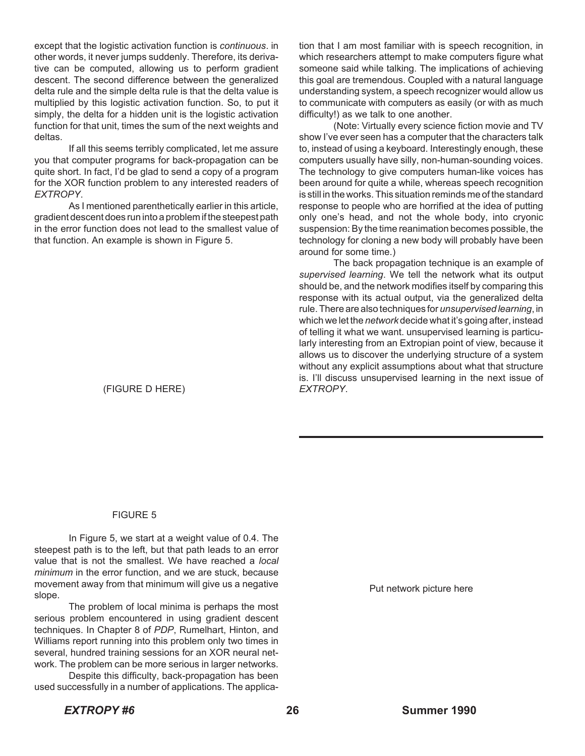except that the logistic activation function is *continuous*. in other words, it never jumps suddenly. Therefore, its derivative can be computed, allowing us to perform gradient descent. The second difference between the generalized delta rule and the simple delta rule is that the delta value is multiplied by this logistic activation function. So, to put it simply, the delta for a hidden unit is the logistic activation function for that unit, times the sum of the next weights and deltas.

If all this seems terribly complicated, let me assure you that computer programs for back-propagation can be quite short. In fact, I'd be glad to send a copy of a program for the XOR function problem to any interested readers of *EXTROPY*.

As I mentioned parenthetically earlier in this article, gradient descent does run into a problem if the steepest path in the error function does not lead to the smallest value of that function. An example is shown in Figure 5.

(FIGURE D HERE)

tion that I am most familiar with is speech recognition, in which researchers attempt to make computers figure what someone said while talking. The implications of achieving this goal are tremendous. Coupled with a natural language understanding system, a speech recognizer would allow us to communicate with computers as easily (or with as much difficulty!) as we talk to one another.

(Note: Virtually every science fiction movie and TV show I've ever seen has a computer that the characters talk to, instead of using a keyboard. Interestingly enough, these computers usually have silly, non-human-sounding voices. The technology to give computers human-like voices has been around for quite a while, whereas speech recognition is still in the works. This situation reminds me of the standard response to people who are horrified at the idea of putting only one's head, and not the whole body, into cryonic suspension: By the time reanimation becomes possible, the technology for cloning a new body will probably have been around for some time.)

The back propagation technique is an example of *supervised learning*. We tell the network what its output should be, and the network modifies itself by comparing this response with its actual output, via the generalized delta rule. There are also techniques for *unsupervised learning*, in which we let the *network* decide what it's going after, instead of telling it what we want. unsupervised learning is particularly interesting from an Extropian point of view, because it allows us to discover the underlying structure of a system without any explicit assumptions about what that structure is. I'll discuss unsupervised learning in the next issue of *EXTROPY*.

#### FIGURE 5

In Figure 5, we start at a weight value of 0.4. The steepest path is to the left, but that path leads to an error value that is not the smallest. We have reached a *local minimum* in the error function, and we are stuck, because movement away from that minimum will give us a negative slope.

The problem of local minima is perhaps the most serious problem encountered in using gradient descent techniques. In Chapter 8 of *PDP*, Rumelhart, Hinton, and Williams report running into this problem only two times in several, hundred training sessions for an XOR neural network. The problem can be more serious in larger networks.

Despite this difficulty, back-propagation has been used successfully in a number of applications. The applicaPut network picture here

*EXTROPY #6* **26 Summer 1990**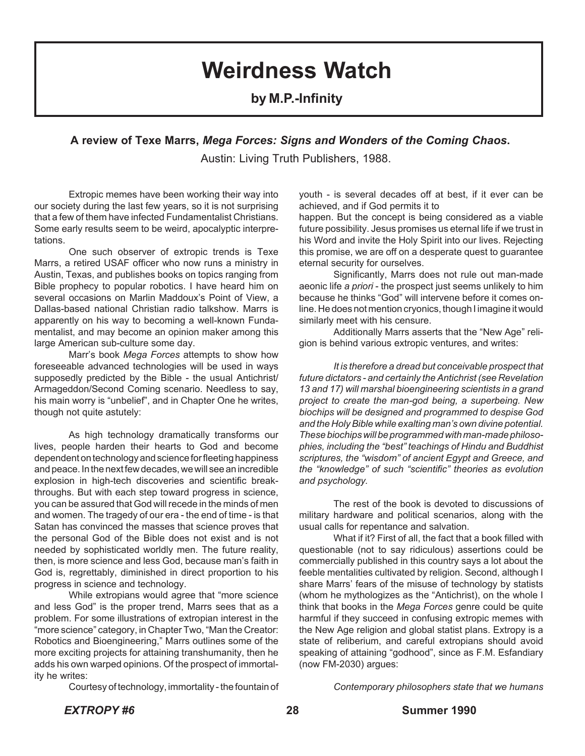## **Weirdness Watch**

## **by M.P.-Infinity**

**A review of Texe Marrs,** *Mega Forces: Signs and Wonders of the Coming Chaos***.** Austin: Living Truth Publishers, 1988.

Extropic memes have been working their way into our society during the last few years, so it is not surprising that a few of them have infected Fundamentalist Christians. Some early results seem to be weird, apocalyptic interpretations.

One such observer of extropic trends is Texe Marrs, a retired USAF officer who now runs a ministry in Austin, Texas, and publishes books on topics ranging from Bible prophecy to popular robotics. I have heard him on several occasions on Marlin Maddoux's Point of View, a Dallas-based national Christian radio talkshow. Marrs is apparently on his way to becoming a well-known Fundamentalist, and may become an opinion maker among this large American sub-culture some day.

Marr's book *Mega Forces* attempts to show how foreseeable advanced technologies will be used in ways supposedly predicted by the Bible - the usual Antichrist/ Armageddon/Second Coming scenario. Needless to say, his main worry is "unbelief", and in Chapter One he writes, though not quite astutely:

As high technology dramatically transforms our lives, people harden their hearts to God and become dependent on technology and science for fleeting happiness and peace. In the next few decades, we will see an incredible explosion in high-tech discoveries and scientific breakthroughs. But with each step toward progress in science, you can be assured that God will recede in the minds of men and women. The tragedy of our era - the end of time - is that Satan has convinced the masses that science proves that the personal God of the Bible does not exist and is not needed by sophisticated worldly men. The future reality, then, is more science and less God, because man's faith in God is, regrettably, diminished in direct proportion to his progress in science and technology.

While extropians would agree that "more science and less God" is the proper trend, Marrs sees that as a problem. For some illustrations of extropian interest in the "more science" category, in Chapter Two, "Man the Creator: Robotics and Bioengineering," Marrs outlines some of the more exciting projects for attaining transhumanity, then he adds his own warped opinions. Of the prospect of immortality he writes:

youth - is several decades off at best, if it ever can be achieved, and if God permits it to

happen. But the concept is being considered as a viable future possibility. Jesus promises us eternal life if we trust in his Word and invite the Holy Spirit into our lives. Rejecting this promise, we are off on a desperate quest to guarantee eternal security for ourselves.

Significantly, Marrs does not rule out man-made aeonic life *a priori* - the prospect just seems unlikely to him because he thinks "God" will intervene before it comes online. He does not mention cryonics, though I imagine it would similarly meet with his censure.

Additionally Marrs asserts that the "New Age" religion is behind various extropic ventures, and writes:

*It is therefore a dread but conceivable prospect that future dictators - and certainly the Antichrist (see Revelation 13 and 17) will marshal bioengineering scientists in a grand project to create the man-god being, a superbeing. New biochips will be designed and programmed to despise God and the Holy Bible while exalting man's own divine potential. These biochips will be programmed with man-made philosophies, including the "best" teachings of Hindu and Buddhist scriptures, the "wisdom" of ancient Egypt and Greece, and the "knowledge" of such "scientific" theories as evolution and psychology.*

The rest of the book is devoted to discussions of military hardware and political scenarios, along with the usual calls for repentance and salvation.

What if it? First of all, the fact that a book filled with questionable (not to say ridiculous) assertions could be commercially published in this country says a lot about the feeble mentalities cultivated by religion. Second, although I share Marrs' fears of the misuse of technology by statists (whom he mythologizes as the "Antichrist), on the whole I think that books in the *Mega Forces* genre could be quite harmful if they succeed in confusing extropic memes with the New Age religion and global statist plans. Extropy is a state of reliberium, and careful extropians should avoid speaking of attaining "godhood", since as F.M. Esfandiary (now FM-2030) argues:

Courtesy of technology, immortality - the fountain of

*Contemporary philosophers state that we humans*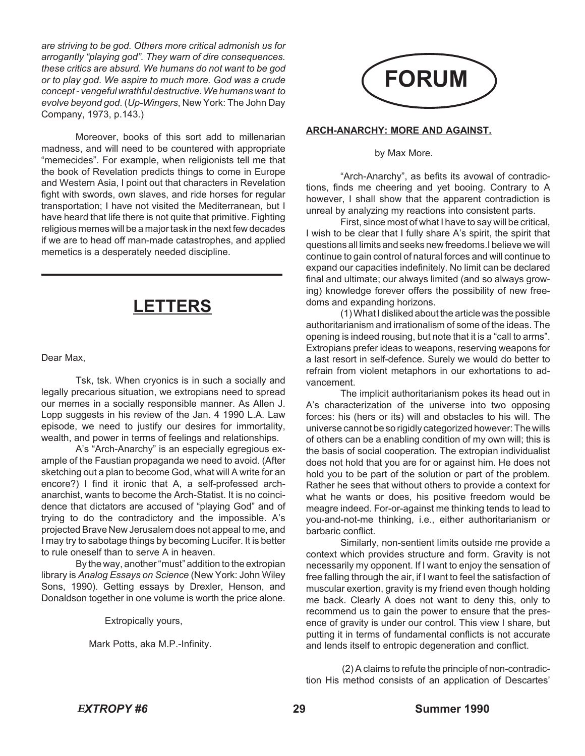*are striving to be god. Others more critical admonish us for arrogantly "playing god". They warn of dire consequences. these critics are absurd. We humans do not want to be god or to play god. We aspire to much more. God was a crude concept - vengeful wrathful destructive. We humans want to evolve beyond god*. (*Up-Wingers*, New York: The John Day Company, 1973, p.143.)

Moreover, books of this sort add to millenarian madness, and will need to be countered with appropriate "memecides". For example, when religionists tell me that the book of Revelation predicts things to come in Europe and Western Asia, I point out that characters in Revelation fight with swords, own slaves, and ride horses for regular transportation; I have not visited the Mediterranean, but I have heard that life there is not quite that primitive. Fighting religious memes will be a major task in the next few decades if we are to head off man-made catastrophes, and applied memetics is a desperately needed discipline.

## **LETTERS**

#### Dear Max,

Tsk, tsk. When cryonics is in such a socially and legally precarious situation, we extropians need to spread our memes in a socially responsible manner. As Allen J. Lopp suggests in his review of the Jan. 4 1990 L.A. Law episode, we need to justify our desires for immortality, wealth, and power in terms of feelings and relationships.

A's "Arch-Anarchy" is an especially egregious example of the Faustian propaganda we need to avoid. (After sketching out a plan to become God, what will A write for an encore?) I find it ironic that A, a self-professed archanarchist, wants to become the Arch-Statist. It is no coincidence that dictators are accused of "playing God" and of trying to do the contradictory and the impossible. A's projected Brave New Jerusalem does not appeal to me, and I may try to sabotage things by becoming Lucifer. It is better to rule oneself than to serve A in heaven.

By the way, another "must" addition to the extropian library is *Analog Essays on Science* (New York: John Wiley Sons, 1990). Getting essays by Drexler, Henson, and Donaldson together in one volume is worth the price alone.

Extropically yours,

Mark Potts, aka M.P.-Infinity.



#### **ARCH-ANARCHY: MORE AND AGAINST.**

#### by Max More.

"Arch-Anarchy", as befits its avowal of contradictions, finds me cheering and yet booing. Contrary to A however, I shall show that the apparent contradiction is unreal by analyzing my reactions into consistent parts.

First, since most of what I have to say will be critical, I wish to be clear that I fully share A's spirit, the spirit that questions all limits and seeks new freedoms.I believe we will continue to gain control of natural forces and will continue to expand our capacities indefinitely. No limit can be declared final and ultimate; our always limited (and so always growing) knowledge forever offers the possibility of new freedoms and expanding horizons.

(1) What I disliked about the article was the possible authoritarianism and irrationalism of some of the ideas. The opening is indeed rousing, but note that it is a "call to arms". Extropians prefer ideas to weapons, reserving weapons for a last resort in self-defence. Surely we would do better to refrain from violent metaphors in our exhortations to advancement.

The implicit authoritarianism pokes its head out in A's characterization of the universe into two opposing forces: his (hers or its) will and obstacles to his will. The universe cannot be so rigidly categorized however: The wills of others can be a enabling condition of my own will; this is the basis of social cooperation. The extropian individualist does not hold that you are for or against him. He does not hold you to be part of the solution or part of the problem. Rather he sees that without others to provide a context for what he wants or does, his positive freedom would be meagre indeed. For-or-against me thinking tends to lead to you-and-not-me thinking, i.e., either authoritarianism or barbaric conflict.

Similarly, non-sentient limits outside me provide a context which provides structure and form. Gravity is not necessarily my opponent. If I want to enjoy the sensation of free falling through the air, if I want to feel the satisfaction of muscular exertion, gravity is my friend even though holding me back. Clearly A does not want to deny this, only to recommend us to gain the power to ensure that the presence of gravity is under our control. This view I share, but putting it in terms of fundamental conflicts is not accurate and lends itself to entropic degeneration and conflict.

 (2) A claims to refute the principle of non-contradiction His method consists of an application of Descartes'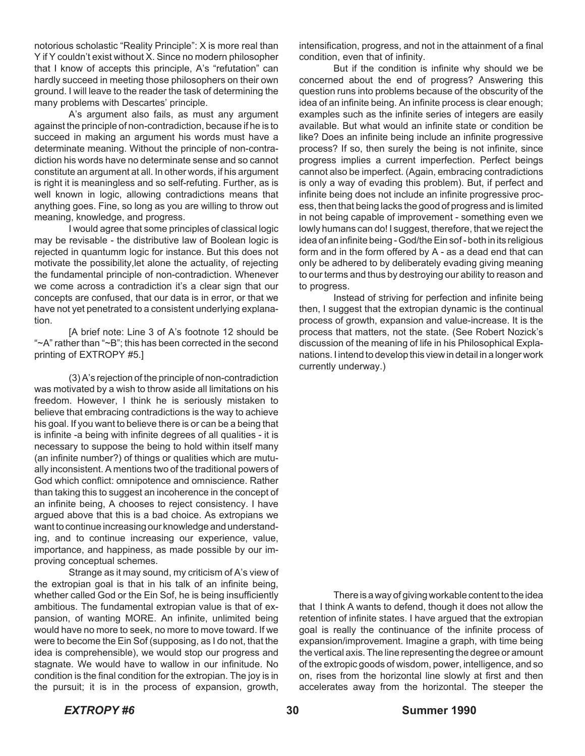notorious scholastic "Reality Principle": X is more real than Y if Y couldn't exist without X. Since no modern philosopher that I know of accepts this principle, A's "refutation" can hardly succeed in meeting those philosophers on their own ground. I will leave to the reader the task of determining the many problems with Descartes' principle.

A's argument also fails, as must any argument against the principle of non-contradiction, because if he is to succeed in making an argument his words must have a determinate meaning. Without the principle of non-contradiction his words have no determinate sense and so cannot constitute an argument at all. In other words, if his argument is right it is meaningless and so self-refuting. Further, as is well known in logic, allowing contradictions means that anything goes. Fine, so long as you are willing to throw out meaning, knowledge, and progress.

I would agree that some principles of classical logic may be revisable - the distributive law of Boolean logic is rejected in quantumm logic for instance. But this does not motivate the possibility,let alone the actuality, of rejecting the fundamental principle of non-contradiction. Whenever we come across a contradiction it's a clear sign that our concepts are confused, that our data is in error, or that we have not yet penetrated to a consistent underlying explanation.

[A brief note: Line 3 of A's footnote 12 should be "~A" rather than "~B"; this has been corrected in the second printing of EXTROPY #5.]

(3) A's rejection of the principle of non-contradiction was motivated by a wish to throw aside all limitations on his freedom. However, I think he is seriously mistaken to believe that embracing contradictions is the way to achieve his goal. If you want to believe there is or can be a being that is infinite -a being with infinite degrees of all qualities - it is necessary to suppose the being to hold within itself many (an infinite number?) of things or qualities which are mutually inconsistent. A mentions two of the traditional powers of God which conflict: omnipotence and omniscience. Rather than taking this to suggest an incoherence in the concept of an infinite being, A chooses to reject consistency. I have argued above that this is a bad choice. As extropians we want to continue increasing our knowledge and understanding, and to continue increasing our experience, value, importance, and happiness, as made possible by our improving conceptual schemes.

Strange as it may sound, my criticism of A's view of the extropian goal is that in his talk of an infinite being, whether called God or the Ein Sof, he is being insufficiently ambitious. The fundamental extropian value is that of expansion, of wanting MORE. An infinite, unlimited being would have no more to seek, no more to move toward. If we were to become the Ein Sof (supposing, as I do not, that the idea is comprehensible), we would stop our progress and stagnate. We would have to wallow in our infinitude. No condition is the final condition for the extropian. The joy is in the pursuit; it is in the process of expansion, growth, intensification, progress, and not in the attainment of a final condition, even that of infinity.

But if the condition is infinite why should we be concerned about the end of progress? Answering this question runs into problems because of the obscurity of the idea of an infinite being. An infinite process is clear enough; examples such as the infinite series of integers are easily available. But what would an infinite state or condition be like? Does an infinite being include an infinite progressive process? If so, then surely the being is not infinite, since progress implies a current imperfection. Perfect beings cannot also be imperfect. (Again, embracing contradictions is only a way of evading this problem). But, if perfect and infinite being does not include an infinite progressive process, then that being lacks the good of progress and is limited in not being capable of improvement - something even we lowly humans can do! I suggest, therefore, that we reject the idea of an infinite being - God/the Ein sof - both in its religious form and in the form offered by A - as a dead end that can only be adhered to by deliberately evading giving meaning to our terms and thus by destroying our ability to reason and to progress.

Instead of striving for perfection and infinite being then, I suggest that the extropian dynamic is the continual process of growth, expansion and value-increase. It is the process that matters, not the state. (See Robert Nozick's discussion of the meaning of life in his Philosophical Explanations. I intend to develop this view in detail in a longer work currently underway.)

There is a way of giving workable content to the idea that I think A wants to defend, though it does not allow the retention of infinite states. I have argued that the extropian goal is really the continuance of the infinite process of expansion/improvement. Imagine a graph, with time being the vertical axis. The line representing the degree or amount of the extropic goods of wisdom, power, intelligence, and so on, rises from the horizontal line slowly at first and then accelerates away from the horizontal. The steeper the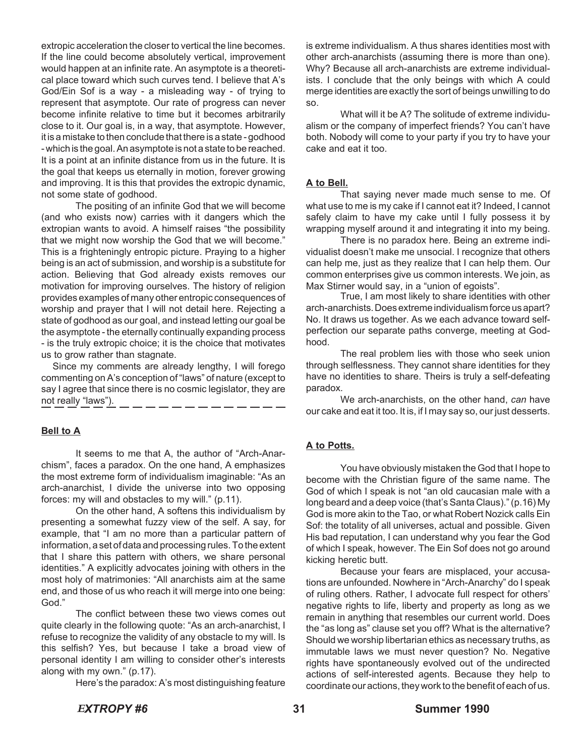extropic acceleration the closer to vertical the line becomes. If the line could become absolutely vertical, improvement would happen at an infinite rate. An asymptote is a theoretical place toward which such curves tend. I believe that A's God/Ein Sof is a way - a misleading way - of trying to represent that asymptote. Our rate of progress can never become infinite relative to time but it becomes arbitrarily close to it. Our goal is, in a way, that asymptote. However, it is a mistake to then conclude that there is a state - godhood - which is the goal. An asymptote is not a state to be reached. It is a point at an infinite distance from us in the future. It is the goal that keeps us eternally in motion, forever growing and improving. It is this that provides the extropic dynamic, not some state of godhood.

The positing of an infinite God that we will become (and who exists now) carries with it dangers which the extropian wants to avoid. A himself raises "the possibility that we might now worship the God that we will become." This is a frighteningly entropic picture. Praying to a higher being is an act of submission, and worship is a substitute for action. Believing that God already exists removes our motivation for improving ourselves. The history of religion provides examples of many other entropic consequences of worship and prayer that I will not detail here. Rejecting a state of godhood as our goal, and instead letting our goal be the asymptote - the eternally continually expanding process - is the truly extropic choice; it is the choice that motivates us to grow rather than stagnate.

 Since my comments are already lengthy, I will forego commenting on A's conception of "laws" of nature (except to say I agree that since there is no cosmic legislator, they are not really "laws").

#### **Bell to A**

It seems to me that A, the author of "Arch-Anarchism", faces a paradox. On the one hand, A emphasizes the most extreme form of individualism imaginable: "As an arch-anarchist, I divide the universe into two opposing forces: my will and obstacles to my will." (p.11).

On the other hand, A softens this individualism by presenting a somewhat fuzzy view of the self. A say, for example, that "I am no more than a particular pattern of information, a set of data and processing rules. To the extent that I share this pattern with others, we share personal identities." A explicitly advocates joining with others in the most holy of matrimonies: "All anarchists aim at the same end, and those of us who reach it will merge into one being: God."

The conflict between these two views comes out quite clearly in the following quote: "As an arch-anarchist, I refuse to recognize the validity of any obstacle to my will. Is this selfish? Yes, but because I take a broad view of personal identity I am willing to consider other's interests along with my own." (p.17).

Here's the paradox: A's most distinguishing feature

is extreme individualism. A thus shares identities most with other arch-anarchists (assuming there is more than one). Why? Because all arch-anarchists are extreme individualists. I conclude that the only beings with which A could merge identities are exactly the sort of beings unwilling to do so.

What will it be A? The solitude of extreme individualism or the company of imperfect friends? You can't have both. Nobody will come to your party if you try to have your cake and eat it too.

#### **A to Bell.**

That saying never made much sense to me. Of what use to me is my cake if I cannot eat it? Indeed, I cannot safely claim to have my cake until I fully possess it by wrapping myself around it and integrating it into my being.

There is no paradox here. Being an extreme individualist doesn't make me unsocial. I recognize that others can help me, just as they realize that I can help them. Our common enterprises give us common interests. We join, as Max Stirner would say, in a "union of egoists".

True, I am most likely to share identities with other arch-anarchists. Does extreme individualism force us apart? No. It draws us together. As we each advance toward selfperfection our separate paths converge, meeting at Godhood.

The real problem lies with those who seek union through selflessness. They cannot share identities for they have no identities to share. Theirs is truly a self-defeating paradox.

We arch-anarchists, on the other hand, *can* have our cake and eat it too. It is, if I may say so, our just desserts.

#### **A to Potts.**

You have obviously mistaken the God that I hope to become with the Christian figure of the same name. The God of which I speak is not "an old caucasian male with a long beard and a deep voice (that's Santa Claus)." (p.16) My God is more akin to the Tao, or what Robert Nozick calls Ein Sof: the totality of all universes, actual and possible. Given His bad reputation, I can understand why you fear the God of which I speak, however. The Ein Sof does not go around kicking heretic butt.

Because your fears are misplaced, your accusations are unfounded. Nowhere in "Arch-Anarchy" do I speak of ruling others. Rather, I advocate full respect for others' negative rights to life, liberty and property as long as we remain in anything that resembles our current world. Does the "as long as" clause set you off? What is the alternative? Should we worship libertarian ethics as necessary truths, as immutable laws we must never question? No. Negative rights have spontaneously evolved out of the undirected actions of self-interested agents. Because they help to coordinate our actions, they work to the benefit of each of us.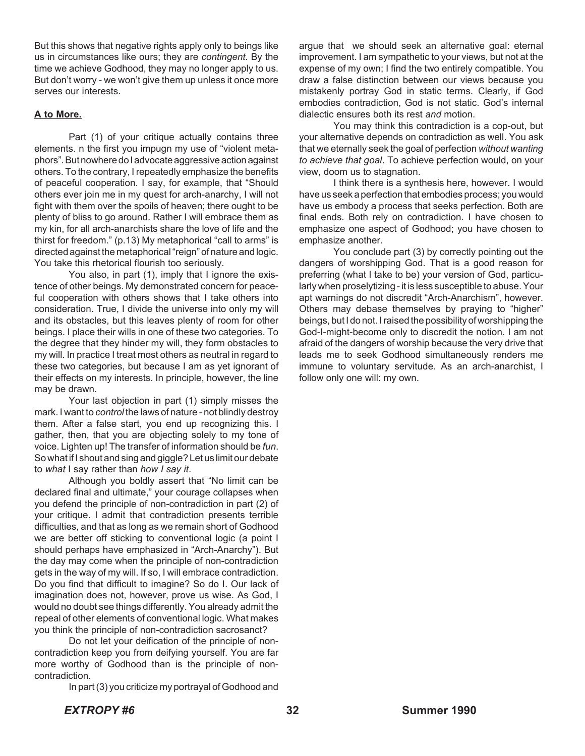But this shows that negative rights apply only to beings like us in circumstances like ours; they are *contingent.* By the time we achieve Godhood, they may no longer apply to us. But don't worry - we won't give them up unless it once more serves our interests.

#### **A to More.**

Part (1) of your critique actually contains three elements. n the first you impugn my use of "violent metaphors". But nowhere do I advocate aggressive action against others. To the contrary, I repeatedly emphasize the benefits of peaceful cooperation. I say, for example, that "Should others ever join me in my quest for arch-anarchy, I will not fight with them over the spoils of heaven; there ought to be plenty of bliss to go around. Rather I will embrace them as my kin, for all arch-anarchists share the love of life and the thirst for freedom." (p.13) My metaphorical "call to arms" is directed against the metaphorical "reign" of nature and logic. You take this rhetorical flourish too seriously.

You also, in part (1), imply that I ignore the existence of other beings. My demonstrated concern for peaceful cooperation with others shows that I take others into consideration. True, I divide the universe into only my will and its obstacles, but this leaves plenty of room for other beings. I place their wills in one of these two categories. To the degree that they hinder my will, they form obstacles to my will. In practice I treat most others as neutral in regard to these two categories, but because I am as yet ignorant of their effects on my interests. In principle, however, the line may be drawn.

Your last objection in part (1) simply misses the mark. I want to *control* the laws of nature - not blindly destroy them. After a false start, you end up recognizing this. I gather, then, that you are objecting solely to my tone of voice. Lighten up! The transfer of information should be *fun*. So what if I shout and sing and giggle? Let us limit our debate to *what* I say rather than *how I say it*.

Although you boldly assert that "No limit can be declared final and ultimate," your courage collapses when you defend the principle of non-contradiction in part (2) of your critique. I admit that contradiction presents terrible difficulties, and that as long as we remain short of Godhood we are better off sticking to conventional logic (a point I should perhaps have emphasized in "Arch-Anarchy"). But the day may come when the principle of non-contradiction gets in the way of my will. If so, I will embrace contradiction. Do you find that difficult to imagine? So do I. Our lack of imagination does not, however, prove us wise. As God, I would no doubt see things differently. You already admit the repeal of other elements of conventional logic. What makes you think the principle of non-contradiction sacrosanct?

Do not let your deification of the principle of noncontradiction keep you from deifying yourself. You are far more worthy of Godhood than is the principle of noncontradiction.

In part (3) you criticize my portrayal of Godhood and

argue that we should seek an alternative goal: eternal improvement. I am sympathetic to your views, but not at the expense of my own; I find the two entirely compatible. You draw a false distinction between our views because you mistakenly portray God in static terms. Clearly, if God embodies contradiction, God is not static. God's internal dialectic ensures both its rest *and* motion.

You may think this contradiction is a cop-out, but your alternative depends on contradiction as well. You ask that we eternally seek the goal of perfection *without wanting to achieve that goal*. To achieve perfection would, on your view, doom us to stagnation.

I think there is a synthesis here, however. I would have us seek a perfection that embodies process; you would have us embody a process that seeks perfection. Both are final ends. Both rely on contradiction. I have chosen to emphasize one aspect of Godhood; you have chosen to emphasize another.

You conclude part (3) by correctly pointing out the dangers of worshipping God. That is a good reason for preferring (what I take to be) your version of God, particularly when proselytizing - it is less susceptible to abuse. Your apt warnings do not discredit "Arch-Anarchism", however. Others may debase themselves by praying to "higher" beings, but I do not. I raised the possibility of worshipping the God-I-might-become only to discredit the notion. I am not afraid of the dangers of worship because the very drive that leads me to seek Godhood simultaneously renders me immune to voluntary servitude. As an arch-anarchist, I follow only one will: my own.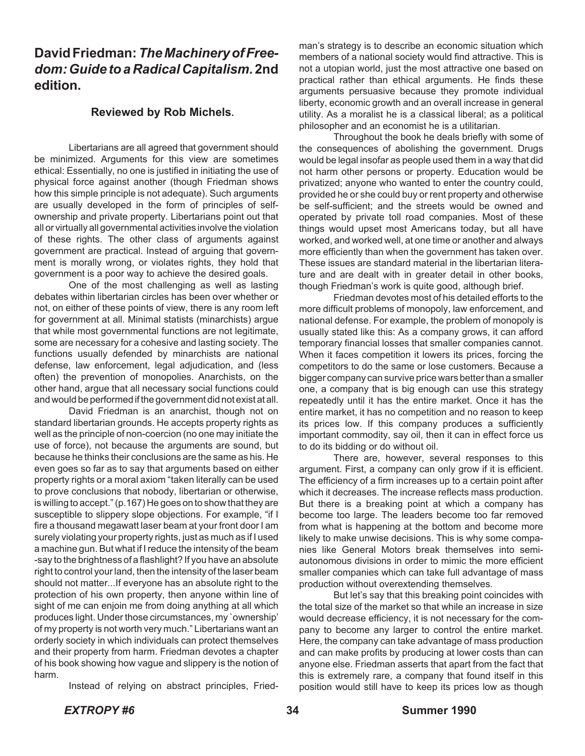### **David Friedman:** *The Machinery of Freedom: Guide to a Radical Capitalism.* **2nd edition.**

#### **Reviewed by Rob Michels.**

Libertarians are all agreed that government should be minimized. Arguments for this view are sometimes ethical: Essentially, no one is justified in initiating the use of physical force against another (though Friedman shows how this simple principle is not adequate). Such arguments are usually developed in the form of principles of selfownership and private property. Libertarians point out that all or virtually all governmental activities involve the violation of these rights. The other class of arguments against government are practical. Instead of arguing that government is morally wrong, or violates rights, they hold that government is a poor way to achieve the desired goals.

One of the most challenging as well as lasting debates within libertarian circles has been over whether or not, on either of these points of view, there is any room left for government at all. Minimal statists (minarchists) argue that while most governmental functions are not legitimate, some are necessary for a cohesive and lasting society. The functions usually defended by minarchists are national defense, law enforcement, legal adjudication, and (less often) the prevention of monopolies. Anarchists, on the other hand, argue that all necessary social functions could and would be performed if the government did not exist at all.

David Friedman is an anarchist, though not on standard libertarian grounds. He accepts property rights as well as the principle of non-coercion (no one may initiate the use of force), not because the arguments are sound, but because he thinks their conclusions are the same as his. He even goes so far as to say that arguments based on either property rights or a moral axiom "taken literally can be used to prove conclusions that nobody, libertarian or otherwise, is willing to accept." (p.167) He goes on to show that they are susceptible to slippery slope objections. For example, "if I fire a thousand megawatt laser beam at your front door I am surely violating your property rights, just as much as if I used a machine gun. But what if I reduce the intensity of the beam -say to the brightness of a flashlight? If you have an absolute right to control your land, then the intensity of the laser beam should not matter...If everyone has an absolute right to the protection of his own property, then anyone within line of sight of me can enjoin me from doing anything at all which produces light. Under those circumstances, my `ownership' of my property is not worth very much." Libertarians want an orderly society in which individuals can protect themselves and their property from harm. Friedman devotes a chapter of his book showing how vague and slippery is the notion of harm.

Instead of relying on abstract principles, Fried-

man's strategy is to describe an economic situation which members of a national society would find attractive. This is not a utopian world, just the most attractive one based on practical rather than ethical arguments. He finds these arguments persuasive because they promote individual liberty, economic growth and an overall increase in general utility. As a moralist he is a classical liberal; as a political philosopher and an economist he is a utilitarian.

Throughout the book he deals briefly with some of the consequences of abolishing the government. Drugs would be legal insofar as people used them in a way that did not harm other persons or property. Education would be privatized; anyone who wanted to enter the country could, provided he or she could buy or rent property and otherwise be self-sufficient; and the streets would be owned and operated by private toll road companies. Most of these things would upset most Americans today, but all have worked, and worked well, at one time or another and always more efficiently than when the government has taken over. These issues are standard material in the libertarian literature and are dealt with in greater detail in other books, though Friedman's work is quite good, although brief.

Friedman devotes most of his detailed efforts to the more difficult problems of monopoly, law enforcement, and national defense. For example, the problem of monopoly is usually stated like this: As a company grows, it can afford temporary financial losses that smaller companies cannot. When it faces competition it lowers its prices, forcing the competitors to do the same or lose customers. Because a bigger company can survive price wars better than a smaller one, a company that is big enough can use this strategy repeatedly until it has the entire market. Once it has the entire market, it has no competition and no reason to keep its prices low. If this company produces a sufficiently important commodity, say oil, then it can in effect force us to do its bidding or do without oil.

There are, however, several responses to this argument. First, a company can only grow if it is efficient. The efficiency of a firm increases up to a certain point after which it decreases. The increase reflects mass production. But there is a breaking point at which a company has become too large. The leaders become too far removed from what is happening at the bottom and become more likely to make unwise decisions. This is why some companies like General Motors break themselves into semiautonomous divisions in order to mimic the more efficient smaller companies which can take full advantage of mass production without overextending themselves.

But let's say that this breaking point coincides with the total size of the market so that while an increase in size would decrease efficiency, it is not necessary for the company to become any larger to control the entire market. Here, the company can take advantage of mass production and can make profits by producing at lower costs than can anyone else. Friedman asserts that apart from the fact that this is extremely rare, a company that found itself in this position would still have to keep its prices low as though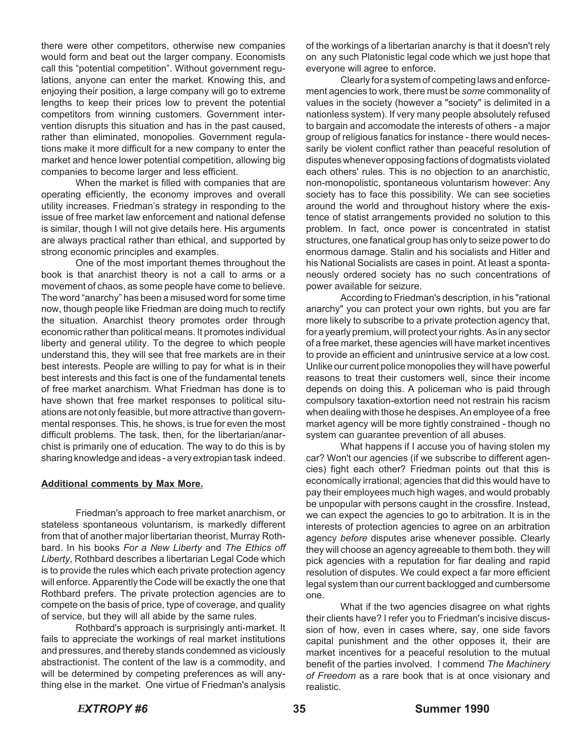there were other competitors, otherwise new companies would form and beat out the larger company. Economists call this "potential competition". Without government regulations, anyone can enter the market. Knowing this, and enjoying their position, a large company will go to extreme lengths to keep their prices low to prevent the potential competitors from winning customers. Government intervention disrupts this situation and has in the past caused, rather than eliminated, monopolies. Government regulations make it more difficult for a new company to enter the market and hence lower potential competition, allowing big companies to become larger and less efficient.

When the market is filled with companies that are operating efficiently, the economy improves and overall utility increases. Friedman's strategy in responding to the issue of free market law enforcement and national defense is similar, though I will not give details here. His arguments are always practical rather than ethical, and supported by strong economic principles and examples.

One of the most important themes throughout the book is that anarchist theory is not a call to arms or a movement of chaos, as some people have come to believe. The word "anarchy" has been a misused word for some time now, though people like Friedman are doing much to rectify the situation. Anarchist theory promotes order through economic rather than political means. It promotes individual liberty and general utility. To the degree to which people understand this, they will see that free markets are in their best interests. People are willing to pay for what is in their best interests and this fact is one of the fundamental tenets of free market anarchism. What Friedman has done is to have shown that free market responses to political situations are not only feasible, but more attractive than governmental responses. This, he shows, is true for even the most difficult problems. The task, then, for the libertarian/anarchist is primarily one of education. The way to do this is by sharing knowledge and ideas - a very extropian task indeed.

#### **Additional comments by Max More.**

Friedman's approach to free market anarchism, or stateless spontaneous voluntarism, is markedly different from that of another major libertarian theorist, Murray Rothbard. In his books *For a New Liberty* and *The Ethics off Liberty*, Rothbard describes a libertarian Legal Code which is to provide the rules which each private protection agency will enforce. Apparently the Code will be exactly the one that Rothbard prefers. The private protection agencies are to compete on the basis of price, type of coverage, and quality of service, but they will all abide by the same rules.

Rothbard's approach is surprisingly anti-market. It fails to appreciate the workings of real market institutions and pressures, and thereby stands condemned as viciously abstractionist. The content of the law is a commodity, and will be determined by competing preferences as will anything else in the market. One virtue of Friedman's analysis

of the workings of a libertarian anarchy is that it doesn't rely on any such Platonistic legal code which we just hope that everyone will agree to enforce.

Clearly for a system of competing laws and enforcement agencies to work, there must be *some* commonality of values in the society (however a "society" is delimited in a nationless system). If very many people absolutely refused to bargain and accomodate the interests of others - a major group of religious fanatics for instance - there would necessarily be violent conflict rather than peaceful resolution of disputes whenever opposing factions of dogmatists violated each others' rules. This is no objection to an anarchistic, non-monopolistic, spontaneous voluntarism however: Any society has to face this possibility. We can see societies around the world and throughout history where the existence of statist arrangements provided no solution to this problem. In fact, once power is concentrated in statist structures, one fanatical group has only to seize power to do enormous damage. Stalin and his socialists and Hitler and his National Socialists are cases in point. At least a spontaneously ordered society has no such concentrations of power available for seizure.

According to Friedman's description, in his "rational anarchy" you can protect your own rights, but you are far more likely to subscribe to a private protection agency that, for a yearly premium, will protect your rights. As in any sector of a free market, these agencies will have market incentives to provide an efficient and unintrusive service at a low cost. Unlike our current police monopolies they will have powerful reasons to treat their customers well, since their income depends on doing this. A policeman who is paid through compulsory taxation-extortion need not restrain his racism when dealing with those he despises. An employee of a free market agency will be more tightly constrained - though no system can guarantee prevention of all abuses.

What happens if I accuse you of having stolen my car? Won't our agencies (if we subscribe to different agencies) fight each other? Friedman points out that this is economically irrational; agencies that did this would have to pay their employees much high wages, and would probably be unpopular with persons caught in the crossfire. Instead, we can expect the agencies to go to arbitration. It is in the interests of protection agencies to agree on an arbitration agency *before* disputes arise whenever possible. Clearly they will choose an agency agreeable to them both. they will pick agencies with a reputation for fiar dealing and rapid resolution of disputes. We could expect a far more efficient legal system than our current backlogged and cumbersome one.

What if the two agencies disagree on what rights their clients have? I refer you to Friedman's incisive discussion of how, even in cases where, say, one side favors capital punishment and the other opposes it, their are market incentives for a peaceful resolution to the mutual benefit of the parties involved. I commend *The Machinery of Freedom* as a rare book that is at once visionary and realistic.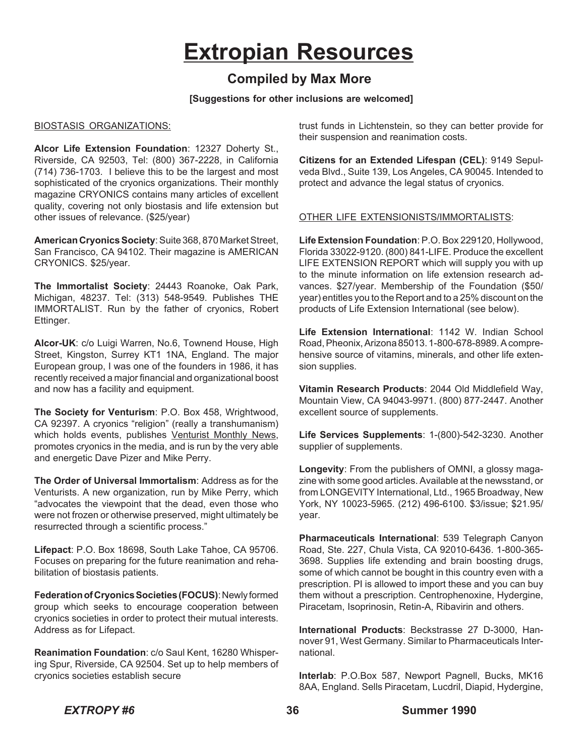## **Extropian Resources**

## **Compiled by Max More**

#### **[Suggestions for other inclusions are welcomed]**

#### BIOSTASIS ORGANIZATIONS:

**Alcor Life Extension Foundation**: 12327 Doherty St., Riverside, CA 92503, Tel: (800) 367-2228, in California (714) 736-1703. I believe this to be the largest and most sophisticated of the cryonics organizations. Their monthly magazine CRYONICS contains many articles of excellent quality, covering not only biostasis and life extension but other issues of relevance. (\$25/year)

**American Cryonics Society**: Suite 368, 870 Market Street, San Francisco, CA 94102. Their magazine is AMERICAN CRYONICS. \$25/year.

**The Immortalist Society**: 24443 Roanoke, Oak Park, Michigan, 48237. Tel: (313) 548-9549. Publishes THE IMMORTALIST. Run by the father of cryonics, Robert Ettinger.

**Alcor-UK**: c/o Luigi Warren, No.6, Townend House, High Street, Kingston, Surrey KT1 1NA, England. The major European group, I was one of the founders in 1986, it has recently received a major financial and organizational boost and now has a facility and equipment.

**The Society for Venturism**: P.O. Box 458, Wrightwood, CA 92397. A cryonics "religion" (really a transhumanism) which holds events, publishes Venturist Monthly News, promotes cryonics in the media, and is run by the very able and energetic Dave Pizer and Mike Perry.

**The Order of Universal Immortalism**: Address as for the Venturists. A new organization, run by Mike Perry, which "advocates the viewpoint that the dead, even those who were not frozen or otherwise preserved, might ultimately be resurrected through a scientific process."

**Lifepact**: P.O. Box 18698, South Lake Tahoe, CA 95706. Focuses on preparing for the future reanimation and rehabilitation of biostasis patients.

**Federation of Cryonics Societies (FOCUS)**: Newly formed group which seeks to encourage cooperation between cryonics societies in order to protect their mutual interests. Address as for Lifepact.

**Reanimation Foundation**: c/o Saul Kent, 16280 Whispering Spur, Riverside, CA 92504. Set up to help members of cryonics societies establish secure

trust funds in Lichtenstein, so they can better provide for their suspension and reanimation costs.

**Citizens for an Extended Lifespan (CEL)**: 9149 Sepulveda Blvd., Suite 139, Los Angeles, CA 90045. Intended to protect and advance the legal status of cryonics.

#### OTHER LIFE EXTENSIONISTS/IMMORTALISTS:

**Life Extension Foundation**: P.O. Box 229120, Hollywood, Florida 33022-9120. (800) 841-LIFE. Produce the excellent LIFE EXTENSION REPORT which will supply you with up to the minute information on life extension research advances. \$27/year. Membership of the Foundation (\$50/ year) entitles you to the Report and to a 25% discount on the products of Life Extension International (see below).

**Life Extension International**: 1142 W. Indian School Road, Pheonix, Arizona 85013. 1-800-678-8989. A comprehensive source of vitamins, minerals, and other life extension supplies.

**Vitamin Research Products**: 2044 Old Middlefield Way, Mountain View, CA 94043-9971. (800) 877-2447. Another excellent source of supplements.

**Life Services Supplements**: 1-(800)-542-3230. Another supplier of supplements.

**Longevity**: From the publishers of OMNI, a glossy magazine with some good articles. Available at the newsstand, or from LONGEVITY International, Ltd., 1965 Broadway, New York, NY 10023-5965. (212) 496-6100. \$3/issue; \$21.95/ year.

**Pharmaceuticals International**: 539 Telegraph Canyon Road, Ste. 227, Chula Vista, CA 92010-6436. 1-800-365- 3698. Supplies life extending and brain boosting drugs, some of which cannot be bought in this country even with a prescription. PI is allowed to import these and you can buy them without a prescription. Centrophenoxine, Hydergine, Piracetam, Isoprinosin, Retin-A, Ribavirin and others.

**International Products**: Beckstrasse 27 D-3000, Hannover 91, West Germany. Similar to Pharmaceuticals International.

**Interlab**: P.O.Box 587, Newport Pagnell, Bucks, MK16 8AA, England. Sells Piracetam, Lucdril, Diapid, Hydergine,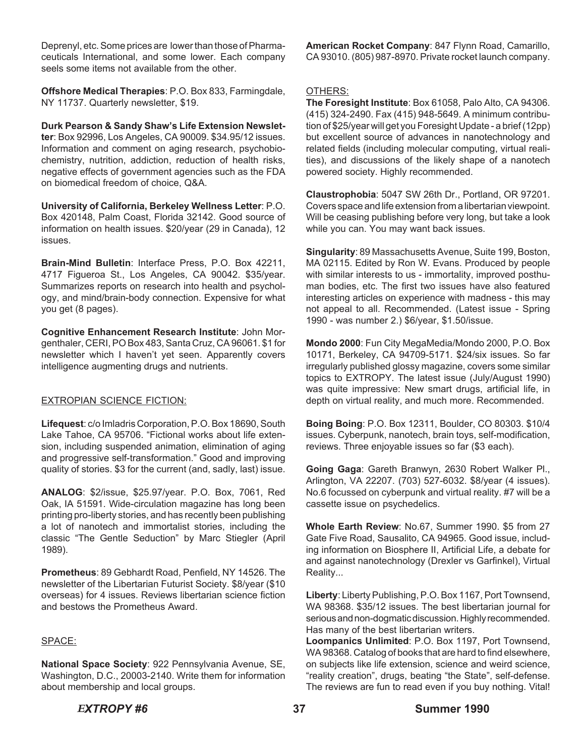Deprenyl, etc. Some prices are lower than those of Pharmaceuticals International, and some lower. Each company seels some items not available from the other.

**Offshore Medical Therapies**: P.O. Box 833, Farmingdale, NY 11737. Quarterly newsletter, \$19.

**Durk Pearson & Sandy Shaw's Life Extension Newsletter**: Box 92996, Los Angeles, CA 90009. \$34.95/12 issues. Information and comment on aging research, psychobiochemistry, nutrition, addiction, reduction of health risks, negative effects of government agencies such as the FDA on biomedical freedom of choice, Q&A.

**University of California, Berkeley Wellness Letter**: P.O. Box 420148, Palm Coast, Florida 32142. Good source of information on health issues. \$20/year (29 in Canada), 12 issues.

**Brain-Mind Bulletin**: Interface Press, P.O. Box 42211, 4717 Figueroa St., Los Angeles, CA 90042. \$35/year. Summarizes reports on research into health and psychology, and mind/brain-body connection. Expensive for what you get (8 pages).

**Cognitive Enhancement Research Institute**: John Morgenthaler, CERI, PO Box 483, Santa Cruz, CA 96061. \$1 for newsletter which I haven't yet seen. Apparently covers intelligence augmenting drugs and nutrients.

#### EXTROPIAN SCIENCE FICTION:

**Lifequest**: c/o Imladris Corporation, P.O. Box 18690, South Lake Tahoe, CA 95706. "Fictional works about life extension, including suspended animation, elimination of aging and progressive self-transformation." Good and improving quality of stories. \$3 for the current (and, sadly, last) issue.

**ANALOG**: \$2/issue, \$25.97/year. P.O. Box, 7061, Red Oak, IA 51591. Wide-circulation magazine has long been printing pro-liberty stories, and has recently been publishing a lot of nanotech and immortalist stories, including the classic "The Gentle Seduction" by Marc Stiegler (April 1989).

**Prometheus**: 89 Gebhardt Road, Penfield, NY 14526. The newsletter of the Libertarian Futurist Society. \$8/year (\$10 overseas) for 4 issues. Reviews libertarian science fiction and bestows the Prometheus Award.

#### SPACE:

**National Space Society**: 922 Pennsylvania Avenue, SE, Washington, D.C., 20003-2140. Write them for information about membership and local groups.

**American Rocket Company**: 847 Flynn Road, Camarillo, CA 93010. (805) 987-8970. Private rocket launch company.

#### OTHERS:

**The Foresight Institute**: Box 61058, Palo Alto, CA 94306. (415) 324-2490. Fax (415) 948-5649. A minimum contribution of \$25/year will get you Foresight Update - a brief (12pp) but excellent source of advances in nanotechnology and related fields (including molecular computing, virtual realities), and discussions of the likely shape of a nanotech powered society. Highly recommended.

**Claustrophobia**: 5047 SW 26th Dr., Portland, OR 97201. Covers space and life extension from a libertarian viewpoint. Will be ceasing publishing before very long, but take a look while you can. You may want back issues.

**Singularity**: 89 Massachusetts Avenue, Suite 199, Boston, MA 02115. Edited by Ron W. Evans. Produced by people with similar interests to us - immortality, improved posthuman bodies, etc. The first two issues have also featured interesting articles on experience with madness - this may not appeal to all. Recommended. (Latest issue - Spring 1990 - was number 2.) \$6/year, \$1.50/issue.

**Mondo 2000**: Fun City MegaMedia/Mondo 2000, P.O. Box 10171, Berkeley, CA 94709-5171. \$24/six issues. So far irregularly published glossy magazine, covers some similar topics to EXTROPY. The latest issue (July/August 1990) was quite impressive: New smart drugs, artificial life, in depth on virtual reality, and much more. Recommended.

**Boing Boing**: P.O. Box 12311, Boulder, CO 80303. \$10/4 issues. Cyberpunk, nanotech, brain toys, self-modification, reviews. Three enjoyable issues so far (\$3 each).

**Going Gaga**: Gareth Branwyn, 2630 Robert Walker Pl., Arlington, VA 22207. (703) 527-6032. \$8/year (4 issues). No.6 focussed on cyberpunk and virtual reality. #7 will be a cassette issue on psychedelics.

**Whole Earth Review**: No.67, Summer 1990. \$5 from 27 Gate Five Road, Sausalito, CA 94965. Good issue, including information on Biosphere II, Artificial Life, a debate for and against nanotechnology (Drexler vs Garfinkel), Virtual Reality...

**Liberty**: Liberty Publishing, P.O. Box 1167, Port Townsend, WA 98368. \$35/12 issues. The best libertarian journal for serious and non-dogmatic discussion. Highly recommended. Has many of the best libertarian writers.

**Loompanics Unlimited**: P.O. Box 1197, Port Townsend, WA 98368. Catalog of books that are hard to find elsewhere, on subjects like life extension, science and weird science, "reality creation", drugs, beating "the State", self-defense. The reviews are fun to read even if you buy nothing. Vital!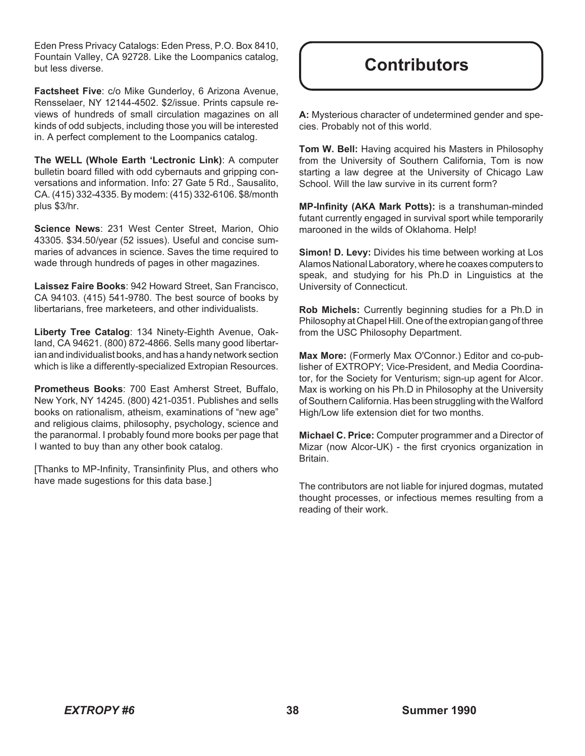Eden Press Privacy Catalogs: Eden Press, P.O. Box 8410, Fountain Valley, CA 92728. Like the Loompanics catalog, but less diverse.

**Factsheet Five**: c/o Mike Gunderloy, 6 Arizona Avenue, Rensselaer, NY 12144-4502. \$2/issue. Prints capsule reviews of hundreds of small circulation magazines on all kinds of odd subjects, including those you will be interested in. A perfect complement to the Loompanics catalog.

**The WELL (Whole Earth 'Lectronic Link)**: A computer bulletin board filled with odd cybernauts and gripping conversations and information. Info: 27 Gate 5 Rd., Sausalito, CA. (415) 332-4335. By modem: (415) 332-6106. \$8/month plus \$3/hr.

**Science News**: 231 West Center Street, Marion, Ohio 43305. \$34.50/year (52 issues). Useful and concise summaries of advances in science. Saves the time required to wade through hundreds of pages in other magazines.

**Laissez Faire Books**: 942 Howard Street, San Francisco, CA 94103. (415) 541-9780. The best source of books by libertarians, free marketeers, and other individualists.

**Liberty Tree Catalog**: 134 Ninety-Eighth Avenue, Oakland, CA 94621. (800) 872-4866. Sells many good libertarian and individualist books, and has a handy network section which is like a differently-specialized Extropian Resources.

**Prometheus Books**: 700 East Amherst Street, Buffalo, New York, NY 14245. (800) 421-0351. Publishes and sells books on rationalism, atheism, examinations of "new age" and religious claims, philosophy, psychology, science and the paranormal. I probably found more books per page that I wanted to buy than any other book catalog.

[Thanks to MP-Infinity, Transinfinity Plus, and others who have made sugestions for this data base.]

## **Contributors**

**A:** Mysterious character of undetermined gender and species. Probably not of this world.

**Tom W. Bell:** Having acquired his Masters in Philosophy from the University of Southern California, Tom is now starting a law degree at the University of Chicago Law School. Will the law survive in its current form?

**MP-Infinity (AKA Mark Potts):** is a transhuman-minded futant currently engaged in survival sport while temporarily marooned in the wilds of Oklahoma. Help!

**Simon! D. Levy: Divides his time between working at Los** Alamos National Laboratory, where he coaxes computers to speak, and studying for his Ph.D in Linguistics at the University of Connecticut.

**Rob Michels:** Currently beginning studies for a Ph.D in Philosophy at Chapel Hill. One of the extropian gang of three from the USC Philosophy Department.

**Max More:** (Formerly Max O'Connor.) Editor and co-publisher of EXTROPY; Vice-President, and Media Coordinator, for the Society for Venturism; sign-up agent for Alcor. Max is working on his Ph.D in Philosophy at the University of Southern California. Has been struggling with the Walford High/Low life extension diet for two months.

**Michael C. Price:** Computer programmer and a Director of Mizar (now Alcor-UK) - the first cryonics organization in Britain.

The contributors are not liable for injured dogmas, mutated thought processes, or infectious memes resulting from a reading of their work.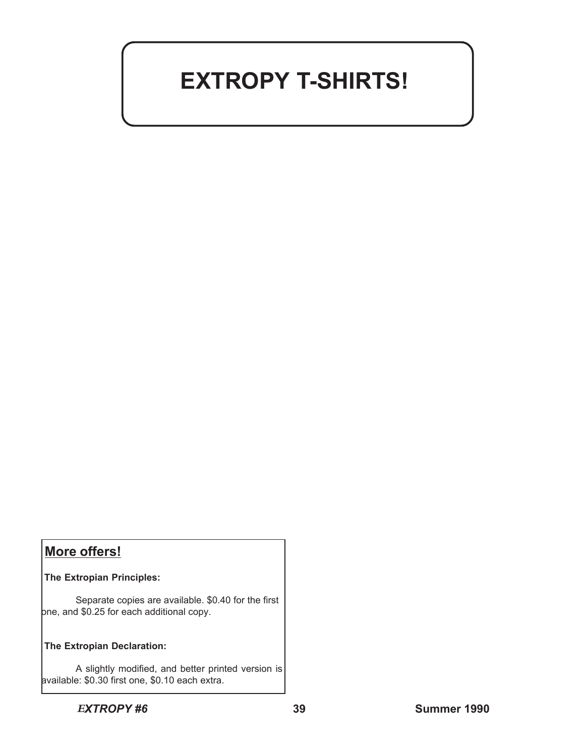## **EXTROPY T-SHIRTS!**

### **More offers!**

#### **The Extropian Principles:**

Separate copies are available. \$0.40 for the first one, and \$0.25 for each additional copy.

#### **The Extropian Declaration:**

A slightly modified, and better printed version is available: \$0.30 first one, \$0.10 each extra.